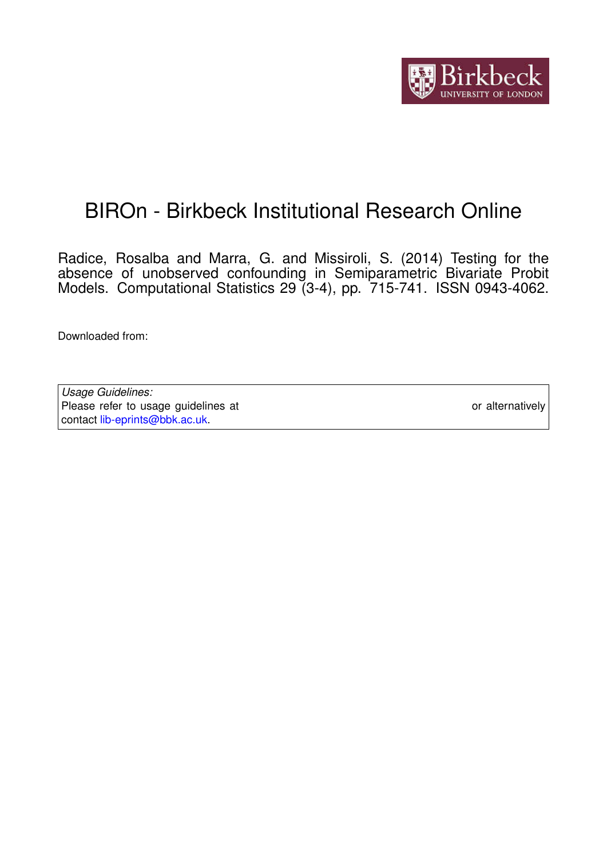

# BIROn - Birkbeck Institutional Research Online

Radice, Rosalba and Marra, G. and Missiroli, S. (2014) Testing for the absence of unobserved confounding in Semiparametric Bivariate Probit Models. Computational Statistics 29 (3-4), pp. 715-741. ISSN 0943-4062.

Downloaded from: <https://eprints.bbk.ac.uk/id/eprint/13840/>

*Usage Guidelines:* Please refer to usage guidelines at <https://eprints.bbk.ac.uk/policies.html> or alternatively contact [lib-eprints@bbk.ac.uk.](mailto:lib-eprints@bbk.ac.uk)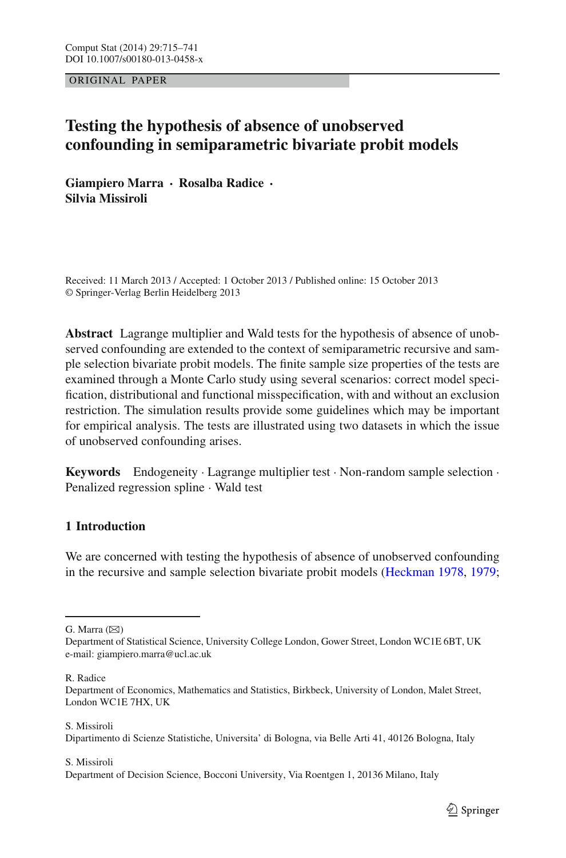ORIGINAL PAPER

# **Testing the hypothesis of absence of unobserved confounding in semiparametric bivariate probit models**

**Giampiero Marra · Rosalba Radice · Silvia Missiroli**

Received: 11 March 2013 / Accepted: 1 October 2013 / Published online: 15 October 2013 © Springer-Verlag Berlin Heidelberg 2013

**Abstract** Lagrange multiplier and Wald tests for the hypothesis of absence of unobserved confounding are extended to the context of semiparametric recursive and sample selection bivariate probit models. The finite sample size properties of the tests are examined through a Monte Carlo study using several scenarios: correct model specification, distributional and functional misspecification, with and without an exclusion restriction. The simulation results provide some guidelines which may be important for empirical analysis. The tests are illustrated using two datasets in which the issue of unobserved confounding arises.

**Keywords** Endogeneity · Lagrange multiplier test · Non-random sample selection · Penalized regression spline · Wald test

# **1 Introduction**

We are concerned with testing the hypothesis of absence of unobserved confounding in the recursive and sample selection bivariate probit models [\(Heckman 1978](#page-26-0), [1979](#page-26-1);

G. Marra  $(\boxtimes)$ 

R. Radice

S. Missiroli

S. Missiroli

Department of Statistical Science, University College London, Gower Street, London WC1E 6BT, UK e-mail: giampiero.marra@ucl.ac.uk

Department of Economics, Mathematics and Statistics, Birkbeck, University of London, Malet Street, London WC1E 7HX, UK

Dipartimento di Scienze Statistiche, Universita' di Bologna, via Belle Arti 41, 40126 Bologna, Italy

Department of Decision Science, Bocconi University, Via Roentgen 1, 20136 Milano, Italy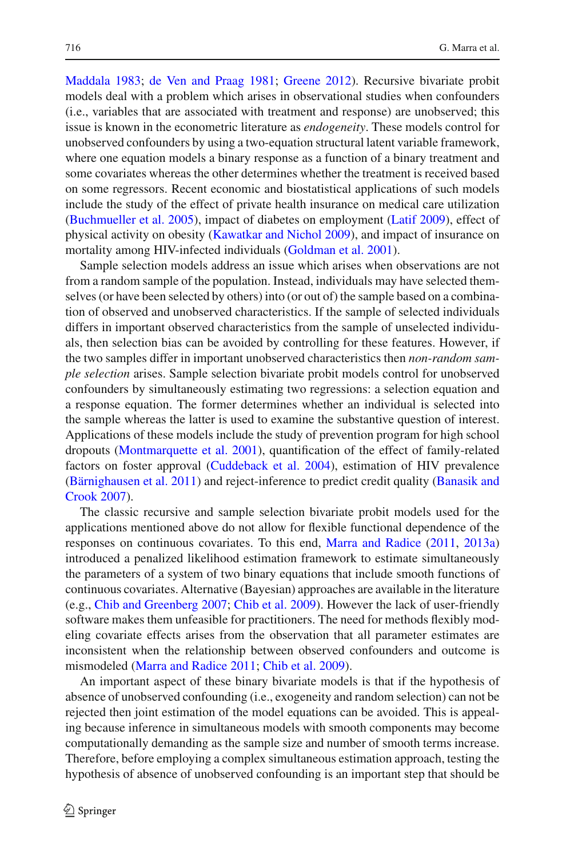[Maddala 1983](#page-26-2); [de Ven and Praag 1981;](#page-26-3) [Greene 2012\)](#page-26-4). Recursive bivariate probit models deal with a problem which arises in observational studies when confounders (i.e., variables that are associated with treatment and response) are unobserved; this issue is known in the econometric literature as *endogeneity*. These models control for unobserved confounders by using a two-equation structural latent variable framework, where one equation models a binary response as a function of a binary treatment and some covariates whereas the other determines whether the treatment is received based on some regressors. Recent economic and biostatistical applications of such models include the study of the effect of private health insurance on medical care utilization [\(Buchmueller et al. 2005\)](#page-26-5), impact of diabetes on employment [\(Latif 2009](#page-26-6)), effect of physical activity on obesity [\(Kawatkar and Nichol 2009](#page-26-7)), and impact of insurance on mortality among HIV-infected individuals [\(Goldman et al. 2001](#page-26-8)).

Sample selection models address an issue which arises when observations are not from a random sample of the population. Instead, individuals may have selected themselves (or have been selected by others) into (or out of) the sample based on a combination of observed and unobserved characteristics. If the sample of selected individuals differs in important observed characteristics from the sample of unselected individuals, then selection bias can be avoided by controlling for these features. However, if the two samples differ in important unobserved characteristics then *non-random sample selection* arises. Sample selection bivariate probit models control for unobserved confounders by simultaneously estimating two regressions: a selection equation and a response equation. The former determines whether an individual is selected into the sample whereas the latter is used to examine the substantive question of interest. Applications of these models include the study of prevention program for high school dropouts [\(Montmarquette et al. 2001](#page-27-0)), quantification of the effect of family-related factors on foster approval [\(Cuddeback et al. 2004\)](#page-26-9), estimation of HIV prevalence [\(Bärnighausen et al. 2011](#page-26-10)[\)](#page-26-11) [and](#page-26-11) [reject-inference](#page-26-11) [to](#page-26-11) [predict](#page-26-11) [credit](#page-26-11) [quality](#page-26-11) [\(](#page-26-11)Banasik and Crook [2007](#page-26-11)).

The classic recursive and sample selection bivariate probit models used for the applications mentioned above do not allow for flexible functional dependence of the responses on continuous covariates. To this end, [Marra and Radice](#page-26-12) [\(2011](#page-26-12), [2013a\)](#page-26-13) introduced a penalized likelihood estimation framework to estimate simultaneously the parameters of a system of two binary equations that include smooth functions of continuous covariates. Alternative (Bayesian) approaches are available in the literature (e.g., [Chib and Greenberg 2007;](#page-26-14) [Chib et al. 2009](#page-26-15)). However the lack of user-friendly software makes them unfeasible for practitioners. The need for methods flexibly modeling covariate effects arises from the observation that all parameter estimates are inconsistent when the relationship between observed confounders and outcome is mismodeled [\(Marra and Radice 2011](#page-26-12); [Chib et al. 2009\)](#page-26-15).

An important aspect of these binary bivariate models is that if the hypothesis of absence of unobserved confounding (i.e., exogeneity and random selection) can not be rejected then joint estimation of the model equations can be avoided. This is appealing because inference in simultaneous models with smooth components may become computationally demanding as the sample size and number of smooth terms increase. Therefore, before employing a complex simultaneous estimation approach, testing the hypothesis of absence of unobserved confounding is an important step that should be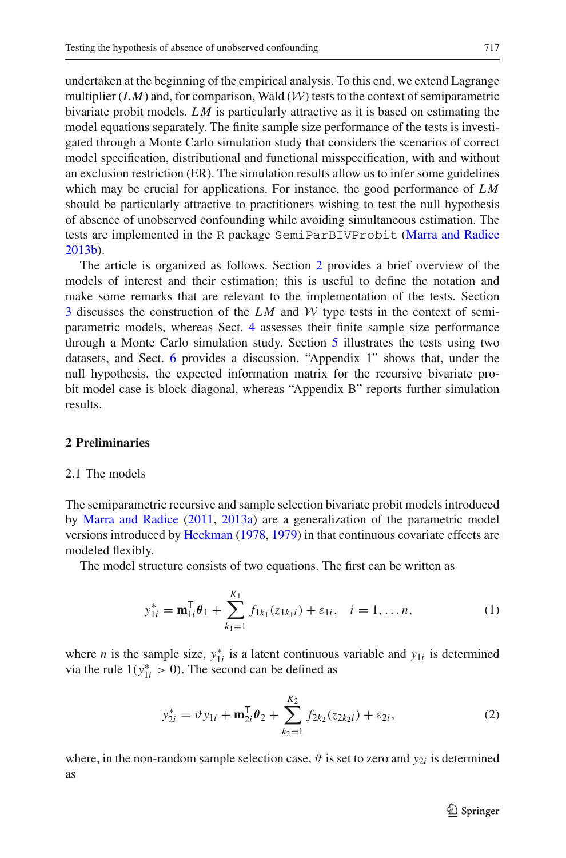undertaken at the beginning of the empirical analysis. To this end, we extend Lagrange multiplier  $(LM)$  and, for comparison, Wald  $(W)$  tests to the context of semiparametric bivariate probit models. *L M* is particularly attractive as it is based on estimating the model equations separately. The finite sample size performance of the tests is investigated through a Monte Carlo simulation study that considers the scenarios of correct model specification, distributional and functional misspecification, with and without an exclusion restriction (ER). The simulation results allow us to infer some guidelines which may be crucial for applications. For instance, the good performance of  $LM$ should be particularly attractive to practitioners wishing to test the null hypothesis of absence of unobserved confounding while avoiding simultaneous estimation. The tests are implemented in the R package SemiParBIVProbit [\(Marra and Radice](#page-27-1) [2013b\)](#page-27-1).

The article is organized as follows. Section [2](#page-3-0) provides a brief overview of the models of interest and their estimation; this is useful to define the notation and make some remarks that are relevant to the implementation of the tests. Section [3](#page-6-0) discusses the construction of the  $LM$  and  $W$  type tests in the context of semiparametric models, whereas Sect. [4](#page-8-0) assesses their finite sample size performance through a Monte Carlo simulation study. Section [5](#page-16-0) illustrates the tests using two datasets, and Sect. [6](#page-22-0) provides a discussion. "Appendix 1" shows that, under the null hypothesis, the expected information matrix for the recursive bivariate probit model case is block diagonal, whereas "Appendix B" reports further simulation results.

#### <span id="page-3-3"></span><span id="page-3-0"></span>**2 Preliminaries**

### 2.1 The models

The semiparametric recursive and sample selection bivariate probit models introduced by [Marra and Radice](#page-26-12) [\(2011,](#page-26-12) [2013a\)](#page-26-13) are a generalization of the parametric model versions introduced by [Heckman](#page-26-0) [\(1978](#page-26-0), [1979\)](#page-26-1) in that continuous covariate effects are modeled flexibly.

The model structure consists of two equations. The first can be written as

$$
y_{1i}^* = \mathbf{m}_{1i}^{\mathsf{T}} \boldsymbol{\theta}_1 + \sum_{k_1=1}^{K_1} f_{1k_1}(z_{1k_1i}) + \varepsilon_{1i}, \quad i = 1, \dots n,
$$
 (1)

<span id="page-3-2"></span>where *n* is the sample size,  $y_{1i}^*$  is a latent continuous variable and  $y_{1i}$  is determined via the rule  $1(y_{1i}^* > 0)$ . The second can be defined as

$$
y_{2i}^* = \vartheta y_{1i} + \mathbf{m}_{2i}^{\mathsf{T}} \theta_2 + \sum_{k=1}^{K_2} f_{2k_2}(z_{2k_2i}) + \varepsilon_{2i}, \qquad (2)
$$

<span id="page-3-1"></span>where, in the non-random sample selection case,  $\vartheta$  is set to zero and  $y_{2i}$  is determined as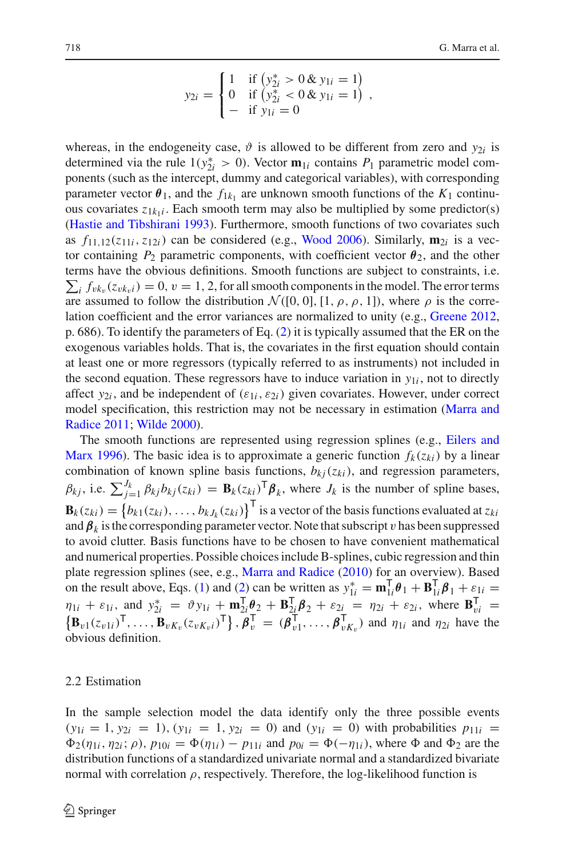$$
y_{2i} = \begin{cases} 1 & \text{if } (y_{2i}^* > 0 \& y_{1i} = 1) \\ 0 & \text{if } (y_{2i}^* < 0 \& y_{1i} = 1) \\ - & \text{if } y_{1i} = 0 \end{cases}
$$

whereas, in the endogeneity case,  $\vartheta$  is allowed to be different from zero and  $y_{2i}$  is determined via the rule  $1(y_{2i}^* > 0)$ . Vector  $\mathbf{m}_{1i}$  contains  $P_1$  parametric model components (such as the intercept, dummy and categorical variables), with corresponding parameter vector  $\theta_1$ , and the  $f_{1k_1}$  are unknown smooth functions of the  $K_1$  continuous covariates  $z_{1k_1i}$ . Each smooth term may also be multiplied by some predictor(s) [\(Hastie and Tibshirani 1993\)](#page-26-16). Furthermore, smooth functions of two covariates such as  $f_{11,12}(z_{11i}, z_{12i})$  can be considered (e.g., [Wood 2006](#page-27-2)). Similarly,  $\mathbf{m}_{2i}$  is a vector containing  $P_2$  parametric components, with coefficient vector  $\theta_2$ , and the other terms have the obvious definitions. Smooth functions are subject to constraints, i.e.  $\sum_i f_{vk_v}(z_{vk_vi}) = 0$ ,  $v = 1, 2$ , for all smooth components in the model. The error terms are assumed to follow the distribution  $\mathcal{N}([0, 0], [1, \rho, \rho, 1])$ , where  $\rho$  is the correlation coefficient and the error variances are normalized to unity (e.g., [Greene 2012,](#page-26-4) p. 686). To identify the parameters of Eq. [\(2\)](#page-3-1) it is typically assumed that the ER on the exogenous variables holds. That is, the covariates in the first equation should contain at least one or more regressors (typically referred to as instruments) not included in the second equation. These regressors have to induce variation in  $y_{1i}$ , not to directly affect  $y_{2i}$ , and be independent of  $(\varepsilon_{1i}, \varepsilon_{2i})$  given covariates. However, under correct model [specification,](#page-26-12) [this](#page-26-12) [restriction](#page-26-12) [may](#page-26-12) [not](#page-26-12) [be](#page-26-12) [necessary](#page-26-12) [in](#page-26-12) [estimation](#page-26-12) [\(](#page-26-12)Marra and Radice [2011;](#page-26-12) [Wilde 2000](#page-27-3)).

T[he](#page-26-17) [smooth](#page-26-17) [functions](#page-26-17) [are](#page-26-17) [represented](#page-26-17) [using](#page-26-17) [regression](#page-26-17) [splines](#page-26-17) [\(e.g.,](#page-26-17) Eilers and Marx [1996](#page-26-17)). The basic idea is to approximate a generic function  $f_k(z_{ki})$  by a linear combination of known spline basis functions,  $b_{kj}(z_{ki})$ , and regression parameters,  $\beta_{kj}$ , i.e.  $\sum_{j=1}^{J_k} \beta_{kj} b_{kj}(z_{ki}) = \mathbf{B}_k(z_{ki})^{\mathsf{T}} \boldsymbol{\beta}_k$ , where  $J_k$  is the number of spline bases,  $\mathbf{B}_k(z_{ki}) = \{b_{k1}(z_{ki}), \ldots, b_{kJ_k}(z_{ki})\}^{\mathsf{T}}$  is a vector of the basis functions evaluated at  $z_{ki}$ and  $\beta_k$  is the corresponding parameter vector. Note that subscript v has been suppressed to avoid clutter. Basis functions have to be chosen to have convenient mathematical and numerical properties. Possible choices include B-splines, cubic regression and thin plate regression splines (see, e.g., [Marra and Radice](#page-26-18) [\(2010\)](#page-26-18) for an overview). Based on the result above, Eqs. [\(1\)](#page-3-2) and [\(2\)](#page-3-1) can be written as  $y_{1i}^* = \mathbf{m}_{1i}^{\mathsf{T}} \boldsymbol{\theta}_1 + \mathbf{B}_{1i}^{\mathsf{T}} \boldsymbol{\beta}_1 + \varepsilon_{1i} =$  $\eta_{1i} + \varepsilon_{1i}$ , and  $y_{2i}^* = \vartheta y_{1i} + \mathbf{m}_{2i}^{\mathsf{T}} \vartheta_2 + \mathbf{B}_{2i}^{\mathsf{T}} \vartheta_2 + \varepsilon_{2i} = \eta_{2i} + \varepsilon_{2i}$ , where  $\mathbf{B}_{vi}^{\mathsf{T}} =$  $\{\mathbf{B}_{v1}(z_{v1i})^{\mathsf{T}},\ldots,\mathbf{B}_{vK_v}(z_{vK_vi})^{\mathsf{T}}\}, \boldsymbol{\beta}_{v}^{\mathsf{T}} = (\boldsymbol{\beta}_{v1}^{\mathsf{T}},\ldots,\boldsymbol{\beta}_{vK_v}^{\mathsf{T}})$  and  $\eta_{1i}$  and  $\eta_{2i}$  have the obvious definition.

# <span id="page-4-0"></span>2.2 Estimation

In the sample selection model the data identify only the three possible events  $(y_{1i} = 1, y_{2i} = 1)$ ,  $(y_{1i} = 1, y_{2i} = 0)$  and  $(y_{1i} = 0)$  with probabilities  $p_{11i} = 0$  $\Phi_2(\eta_{1i}, \eta_{2i}; \rho)$ ,  $p_{10i} = \Phi(\eta_{1i}) - p_{11i}$  and  $p_{0i} = \Phi(-\eta_{1i})$ , where  $\Phi$  and  $\Phi_2$  are the distribution functions of a standardized univariate normal and a standardized bivariate normal with correlation  $\rho$ , respectively. Therefore, the log-likelihood function is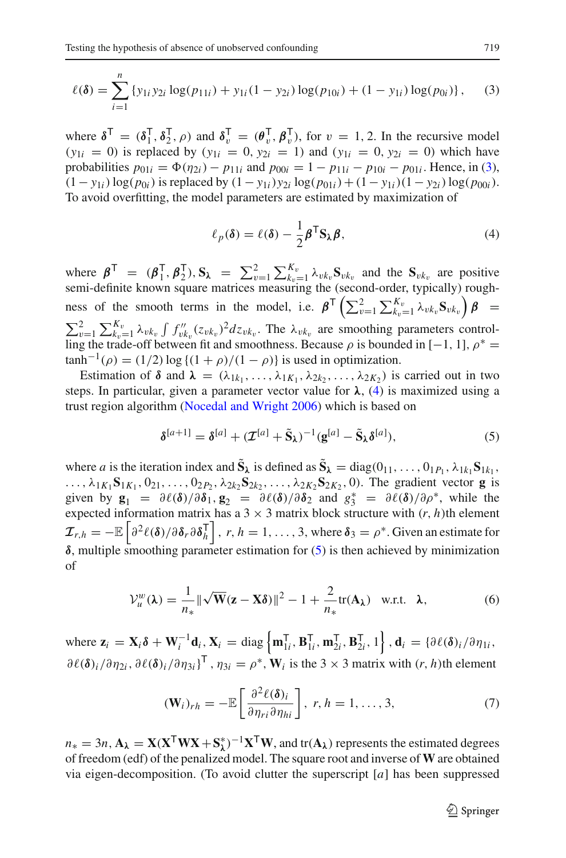<span id="page-5-0"></span>
$$
\ell(\delta) = \sum_{i=1}^{n} \{y_{1i} y_{2i} \log(p_{11i}) + y_{1i} (1 - y_{2i}) \log(p_{10i}) + (1 - y_{1i}) \log(p_{0i})\},\tag{3}
$$

where  $\delta^{\mathsf{T}} = (\delta_1^{\mathsf{T}}, \delta_2^{\mathsf{T}}, \rho)$  and  $\delta_v^{\mathsf{T}} = (\theta_v^{\mathsf{T}}, \beta_v^{\mathsf{T}})$ , for  $v = 1, 2$ . In the recursive model  $(y_{1i} = 0)$  is replaced by  $(y_{1i} = 0, y_{2i} = 1)$  and  $(y_{1i} = 0, y_{2i} = 0)$  which have probabilities  $p_{01i} = \Phi(\eta_{2i}) - p_{11i}$  and  $p_{00i} = 1 - p_{11i} - p_{10i} - p_{01i}$ . Hence, in [\(3\)](#page-5-0),  $(1 - y_{1i}) \log(p_{0i})$  is replaced by  $(1 - y_{1i})y_{2i} \log(p_{01i}) + (1 - y_{1i})(1 - y_{2i}) \log(p_{00i}).$ To avoid overfitting, the model parameters are estimated by maximization of

$$
\ell_p(\delta) = \ell(\delta) - \frac{1}{2} \boldsymbol{\beta}^\mathsf{T} \mathbf{S}_{\lambda} \boldsymbol{\beta},\tag{4}
$$

<span id="page-5-1"></span>where  $\boldsymbol{\beta}^{\top} = (\boldsymbol{\beta}_1^{\top}, \boldsymbol{\beta}_2^{\top}), \mathbf{S}_{\lambda} = \sum_{v=1}^{2} \sum_{k_v=1}^{K_v} \lambda_{vk_v} \mathbf{S}_{vk_v}$  and the  $\mathbf{S}_{vk_v}$  are positive semi-definite known square matrices measuring the (second-order, typically) roughness of the smooth terms in the model, i.e.  $\beta^T \left( \sum_{v=1}^2 \sum_{k_v=1}^{K_v} \lambda_{vk_v} S_{vk_v} \right) \beta =$  $\sum_{v=1}^{2} \sum_{k_v=1}^{K_v} \lambda_{vk_v} \int f''_{vk_v}(z_{vk_v})^2 dz_{vk_v}$ . The  $\lambda_{vk_v}$  are smoothing parameters controlling the trade-off between fit and smoothness. Because  $\rho$  is bounded in [−1, 1],  $\rho^*$  =  $\tanh^{-1}(\rho) = (1/2) \log \{(1+\rho)/(1-\rho)\}\$ is used in optimization.

Estimation of  $\delta$  and  $\lambda = (\lambda_{1k_1}, \ldots, \lambda_{1K_1}, \lambda_{2k_2}, \ldots, \lambda_{2K_2})$  is carried out in two steps. In particular, given a parameter vector value for  $\lambda$ , [\(4\)](#page-5-1) is maximized using a trust region algorithm [\(Nocedal and Wright 2006](#page-27-4)) which is based on

$$
\delta^{[a+1]} = \delta^{[a]} + (\mathcal{I}^{[a]} + \tilde{S}_{\lambda})^{-1} (g^{[a]} - \tilde{S}_{\lambda} \delta^{[a]}), \tag{5}
$$

<span id="page-5-2"></span>where *a* is the iteration index and  $\tilde{S}_\lambda$  is defined as  $\tilde{S}_\lambda = \text{diag}(0_{11}, \ldots, 0_{1P_1}, \lambda_{1k_1} S_{1k_1})$ ...,  $\lambda_{1}K_{1}S_{1}K_{1}$ ,  $0_{21},...,0_{2P_{2}}$ ,  $\lambda_{2}k_{2}S_{2}K_{2}$ , ...,  $\lambda_{2}K_{2}S_{2}K_{2}$ , 0). The gradient vector **g** is given by  $\mathbf{g}_1 = \partial \ell(\delta) / \partial \delta_1$ ,  $\mathbf{g}_2 = \partial \ell(\delta) / \partial \delta_2$  and  $g_3^* = \partial \ell(\delta) / \partial \rho^*$ , while the expected information matrix has a  $3 \times 3$  matrix block structure with  $(r, h)$ th element  $\mathcal{I}_{r,h} = -\mathbb{E}\left[\frac{\partial^2 \ell(\delta)}{\partial \delta_r \partial \delta_h} \right], r, h = 1, \ldots, 3$ , where  $\delta_3 = \rho^*$ . Given an estimate for *δ*, multiple smoothing parameter estimation for [\(5\)](#page-5-2) is then achieved by minimization of

$$
\mathcal{V}_u^w(\lambda) = \frac{1}{n_*} \|\sqrt{\mathbf{W}}(\mathbf{z} - \mathbf{X}\boldsymbol{\delta})\|^2 - 1 + \frac{2}{n_*} \text{tr}(\mathbf{A}_\lambda) \quad \text{w.r.t.} \quad \lambda,\tag{6}
$$

<span id="page-5-4"></span>where  $\mathbf{z}_i = \mathbf{X}_i \delta + \mathbf{W}_i^{-1} \mathbf{d}_i$ ,  $\mathbf{X}_i = \text{diag}\left\{ \mathbf{m}_{1i}^{\mathsf{T}}, \mathbf{B}_{1i}^{\mathsf{T}}, \mathbf{m}_{2i}^{\mathsf{T}}, \mathbf{B}_{2i}^{\mathsf{T}}, 1 \right\}$ ,  $\mathbf{d}_i = \left\{ \partial \ell(\delta)_i / \partial \eta_{1i} \right\}$  $\partial \ell(\delta_i/\partial \eta_{2i}, \partial \ell(\delta_i/\partial \eta_{3i})^T$ ,  $\eta_{3i} = \rho^*$ , W<sub>*i*</sub> is the 3 × 3 matrix with  $(r, h)$ th element

$$
(\mathbf{W}_i)_{rh} = -\mathbb{E}\left[\frac{\partial^2 \ell(\delta)_i}{\partial \eta_{ri} \partial \eta_{hi}}\right], r, h = 1, ..., 3,
$$
\n(7)

<span id="page-5-3"></span> $n_* = 3n$ ,  $\mathbf{A}_\lambda = \mathbf{X}(\mathbf{X}^\mathsf{T}\mathbf{W}\mathbf{X} + \mathbf{S}_\lambda^*)^{-1}\mathbf{X}^\mathsf{T}\mathbf{W}$ , and tr( $\mathbf{A}_\lambda$ ) represents the estimated degrees of freedom (edf) of the penalized model. The square root and inverse of **W** are obtained via eigen-decomposition. (To avoid clutter the superscript [*a*] has been suppressed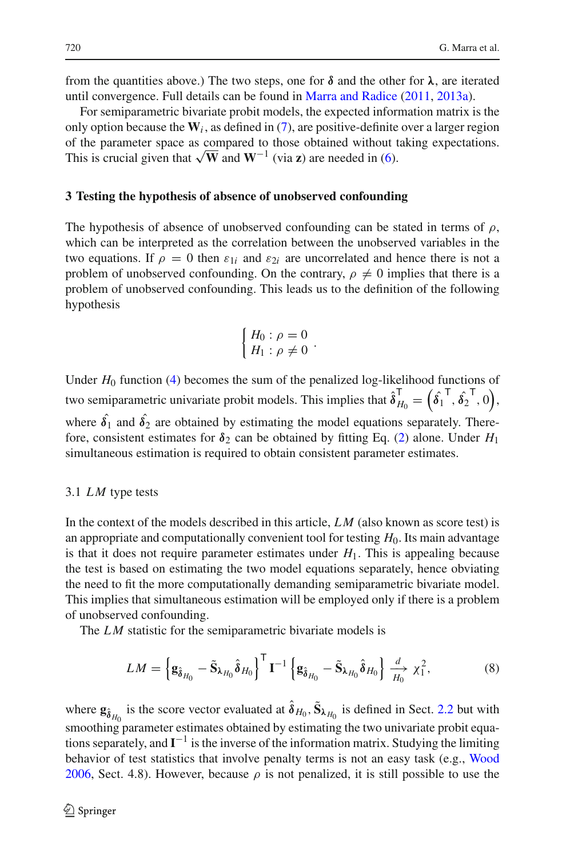from the quantities above.) The two steps, one for  $\delta$  and the other for  $\lambda$ , are iterated until convergence. Full details can be found in [Marra and Radice](#page-26-12) [\(2011](#page-26-12), [2013a\)](#page-26-13).

For semiparametric bivariate probit models, the expected information matrix is the only option because the  $W_i$ , as defined in [\(7\)](#page-5-3), are positive-definite over a larger region of the parameter space as compared to those obtained without taking expectations. This is crucial given that  $\sqrt{W}$  and  $W^{-1}$  (via **z**) are needed in [\(6\)](#page-5-4).

#### <span id="page-6-0"></span>**3 Testing the hypothesis of absence of unobserved confounding**

The hypothesis of absence of unobserved confounding can be stated in terms of  $\rho$ , which can be interpreted as the correlation between the unobserved variables in the two equations. If  $\rho = 0$  then  $\varepsilon_{1i}$  and  $\varepsilon_{2i}$  are uncorrelated and hence there is not a problem of unobserved confounding. On the contrary,  $\rho \neq 0$  implies that there is a problem of unobserved confounding. This leads us to the definition of the following hypothesis

$$
\begin{cases} H_0: \rho = 0 \\ H_1: \rho \neq 0 \end{cases}.
$$

Under *H*<sup>0</sup> function [\(4\)](#page-5-1) becomes the sum of the penalized log-likelihood functions of two semiparametric univariate probit models. This implies that  $\hat{\delta}_{H_0}^{\sf T} = \left(\hat{\delta_1}^{\sf T},\hat{\delta_2}^{\sf T},0\right)$ , where  $\hat{\delta}_1$  and  $\hat{\delta}_2$  are obtained by estimating the model equations separately. Therefore, consistent estimates for  $\delta_2$  can be obtained by fitting Eq. [\(2\)](#page-3-1) alone. Under  $H_1$ simultaneous estimation is required to obtain consistent parameter estimates.

### 3.1 *LM* type tests

In the context of the models described in this article, *L M* (also known as score test) is an appropriate and computationally convenient tool for testing *H*0. Its main advantage is that it does not require parameter estimates under  $H_1$ . This is appealing because the test is based on estimating the two model equations separately, hence obviating the need to fit the more computationally demanding semiparametric bivariate model. This implies that simultaneous estimation will be employed only if there is a problem of unobserved confounding.

The *LM* statistic for the semiparametric bivariate models is

$$
LM = \left\{ \mathbf{g}_{\hat{\boldsymbol{\delta}}_{H_0}} - \tilde{\mathbf{S}}_{\lambda_{H_0}} \hat{\boldsymbol{\delta}}_{H_0} \right\}^{\mathsf{T}} \mathbf{I}^{-1} \left\{ \mathbf{g}_{\hat{\boldsymbol{\delta}}_{H_0}} - \tilde{\mathbf{S}}_{\lambda_{H_0}} \hat{\boldsymbol{\delta}}_{H_0} \right\} \xrightarrow[H]{d} \chi_1^2,
$$
 (8)

<span id="page-6-1"></span>where  $\mathbf{g}_{\hat{\delta}_{H_0}}$  is the score vector evaluated at  $\hat{\delta}_{H_0}$ ,  $\tilde{\mathbf{S}}_{\lambda_{H_0}}$  is defined in Sect. [2.2](#page-4-0) but with smoothing parameter estimates obtained by estimating the two univariate probit equations separately, and  $\mathbf{I}^{-1}$  is the inverse of the information matrix. Studying the limiting behavior of test statistics that involve penalty terms is not an easy task (e.g., [Wood](#page-27-2) [2006,](#page-27-2) Sect. 4.8). However, because  $\rho$  is not penalized, it is still possible to use the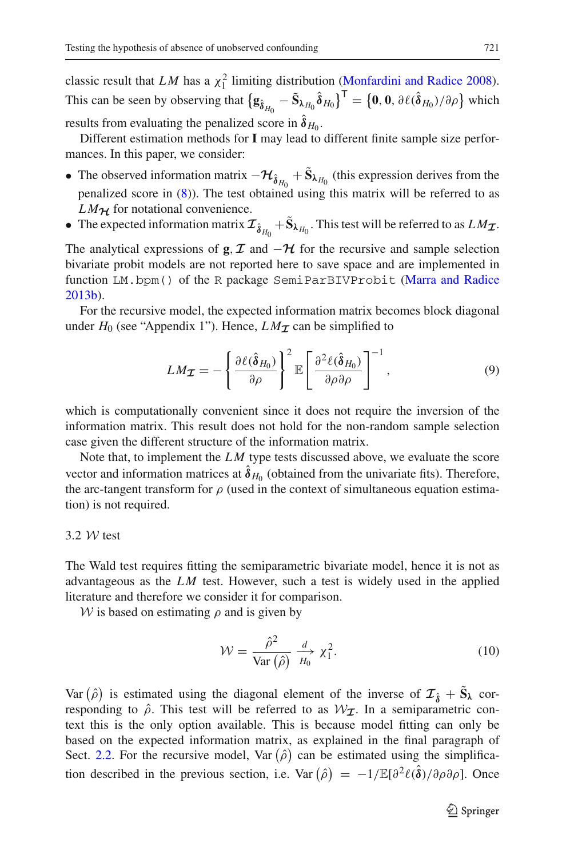classic result that *LM* has a  $\chi_1^2$  limiting distribution [\(Monfardini and Radice 2008](#page-27-5)). This can be seen by observing that  $\left\{ \mathbf{g}_{\hat{\boldsymbol{\delta}}_{H_0}} - \tilde{\mathbf{S}}_{\lambda_{H_0}} \hat{\boldsymbol{\delta}}_{H_0} \right\}^{\mathsf{T}} = \left\{ \mathbf{0}, \mathbf{0}, \partial \ell(\hat{\boldsymbol{\delta}}_{H_0}) / \partial \rho \right\}$  which results from evaluating the penalized score in  $\hat{\delta}_{H_0}$ .

Different estimation methods for **I** may lead to different finite sample size performances. In this paper, we consider:

- The observed information matrix  $-\mathcal{H}_{\hat{\delta}_{H_0}} + \tilde{S}_{\lambda_{H_0}}$  (this expression derives from the penalized score in [\(8\)](#page-6-1)). The test obtained using this matrix will be referred to as  $LM_{\mathcal{H}}$  for notational convenience.
- The expected information matrix  $\mathcal{I}_{\hat{\bm{\delta}}_{H_0}} + \tilde{\mathbf{S}}_{\lambda_{H_0}}$ . This test will be referred to as  $LM_{\mathcal{I}}$ .

The analytical expressions of **g**,  $\mathcal{I}$  and  $-\mathcal{H}$  for the recursive and sample selection bivariate probit models are not reported here to save space and are implemented in function LM.bpm() of the R package SemiParBIVProbit [\(Marra and Radice](#page-27-1) [2013b\)](#page-27-1).

For the recursive model, the expected information matrix becomes block diagonal under  $H_0$  (see "Appendix 1"). Hence,  $LM_{\mathcal{I}}$  can be simplified to

$$
LM_{\mathcal{I}} = -\left\{\frac{\partial \ell(\hat{\boldsymbol{\delta}}_{H_0})}{\partial \rho}\right\}^2 \mathbb{E}\left[\frac{\partial^2 \ell(\hat{\boldsymbol{\delta}}_{H_0})}{\partial \rho \partial \rho}\right]^{-1},\tag{9}
$$

<span id="page-7-0"></span>which is computationally convenient since it does not require the inversion of the information matrix. This result does not hold for the non-random sample selection case given the different structure of the information matrix.

Note that, to implement the *L M* type tests discussed above, we evaluate the score vector and information matrices at  $\hat{\delta}_{H_0}$  (obtained from the univariate fits). Therefore, the arc-tangent transform for  $\rho$  (used in the context of simultaneous equation estimation) is not required.

# 3.2 *W* test

The Wald test requires fitting the semiparametric bivariate model, hence it is not as advantageous as the *L M* test. However, such a test is widely used in the applied literature and therefore we consider it for comparison.

<span id="page-7-1"></span>*W* is based on estimating  $\rho$  and is given by

$$
\mathcal{W} = \frac{\hat{\rho}^2}{\text{Var}\left(\hat{\rho}\right)} \xrightarrow{d} \chi_1^2.
$$
 (10)

Var  $(\hat{\rho})$  is estimated using the diagonal element of the inverse of  $\mathcal{I}_{\hat{\delta}} + \tilde{S}_{\lambda}$  corresponding to  $\hat{\rho}$ . This test will be referred to as  $W_{\mathcal{I}}$ . In a semiparametric context this is the only option available. This is because model fitting can only be based on the expected information matrix, as explained in the final paragraph of Sect. [2.2.](#page-4-0) For the recursive model, Var  $(\hat{\rho})$  can be estimated using the simplification described in the previous section, i.e. Var  $(\hat{\rho}) = -1/\mathbb{E}[\partial^2 \ell(\hat{\delta})/\partial \rho \partial \rho]$ . Once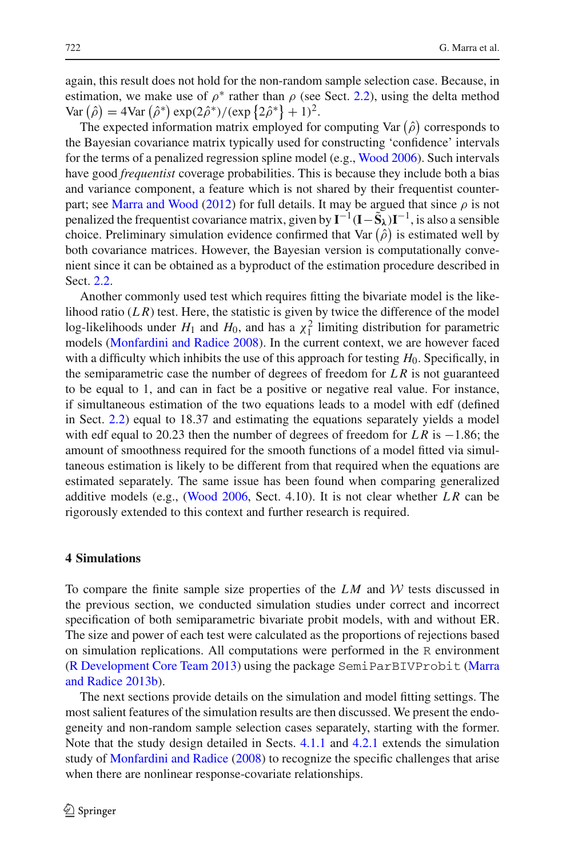again, this result does not hold for the non-random sample selection case. Because, in estimation, we make use of  $\rho^*$  rather than  $\rho$  (see Sect. [2.2\)](#page-4-0), using the delta method Var  $(\hat{\rho}) = 4$ Var  $(\hat{\rho}^*) \exp(2\hat{\rho}^*) / (\exp\{2\hat{\rho}^*\} + 1)^2$ .

The expected information matrix employed for computing Var  $(\hat{\rho})$  corresponds to the Bayesian covariance matrix typically used for constructing 'confidence' intervals for the terms of a penalized regression spline model (e.g., [Wood 2006](#page-27-2)). Such intervals have good *frequentist* coverage probabilities. This is because they include both a bias and variance component, a feature which is not shared by their frequentist counter-part; see [Marra and Wood](#page-26-19) [\(2012\)](#page-26-19) for full details. It may be argued that since  $\rho$  is not penalized the frequentist covariance matrix, given by  $I^{-1}(I-\tilde{S}_\lambda)I^{-1}$ , is also a sensible choice. Preliminary simulation evidence confirmed that Var  $(\hat{\rho})$  is estimated well by both covariance matrices. However, the Bayesian version is computationally convenient since it can be obtained as a byproduct of the estimation procedure described in Sect. [2.2.](#page-4-0)

Another commonly used test which requires fitting the bivariate model is the likelihood ratio  $(LR)$  test. Here, the statistic is given by twice the difference of the model log-likelihoods under  $H_1$  and  $H_0$ , and has a  $\chi_1^2$  limiting distribution for parametric models [\(Monfardini and Radice 2008](#page-27-5)). In the current context, we are however faced with a difficulty which inhibits the use of this approach for testing *H*0. Specifically, in the semiparametric case the number of degrees of freedom for *L R* is not guaranteed to be equal to 1, and can in fact be a positive or negative real value. For instance, if simultaneous estimation of the two equations leads to a model with edf (defined in Sect. [2.2\)](#page-4-0) equal to 18.37 and estimating the equations separately yields a model with edf equal to 20.23 then the number of degrees of freedom for *L R* is −1.86; the amount of smoothness required for the smooth functions of a model fitted via simultaneous estimation is likely to be different from that required when the equations are estimated separately. The same issue has been found when comparing generalized additive models (e.g., [\(Wood 2006,](#page-27-2) Sect. 4.10). It is not clear whether *L R* can be rigorously extended to this context and further research is required.

### <span id="page-8-0"></span>**4 Simulations**

To compare the finite sample size properties of the  $LM$  and  $W$  tests discussed in the previous section, we conducted simulation studies under correct and incorrect specification of both semiparametric bivariate probit models, with and without ER. The size and power of each test were calculated as the proportions of rejections based on simulation replications. All computations were performed in the R environment [\(R Development Core Team 2013](#page-27-6)[\)](#page-27-1) [using](#page-27-1) [the](#page-27-1) [package](#page-27-1) SemiParBIVProbit (Marra and Radice [2013b\)](#page-27-1).

The next sections provide details on the simulation and model fitting settings. The most salient features of the simulation results are then discussed. We present the endogeneity and non-random sample selection cases separately, starting with the former. Note that the study design detailed in Sects. [4.1.1](#page-9-0) and [4.2.1](#page-12-0) extends the simulation study of [Monfardini and Radice](#page-27-5) [\(2008](#page-27-5)) to recognize the specific challenges that arise when there are nonlinear response-covariate relationships.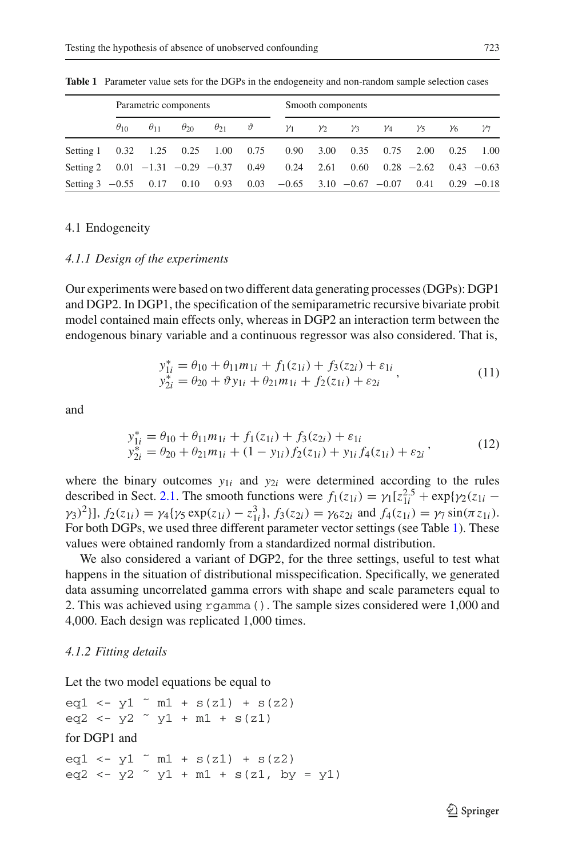<span id="page-9-1"></span>

|                                                                                      |               |               | Parametric components |                           |            | Smooth components |            |            |            |    |    |
|--------------------------------------------------------------------------------------|---------------|---------------|-----------------------|---------------------------|------------|-------------------|------------|------------|------------|----|----|
|                                                                                      | $\theta_{10}$ | $\theta_{11}$ | $\theta_{20}$         | $\theta_{21}$ $\vartheta$ | $\gamma_1$ | $\gamma_2$        | $\gamma_3$ | $\gamma_4$ | $\gamma_5$ | Y6 | Y7 |
| Setting 1 0.32 1.25 0.25 1.00 0.75 0.90 3.00 0.35 0.75 2.00 0.25 1.00                |               |               |                       |                           |            |                   |            |            |            |    |    |
| Setting 2  0.01 -1.31 -0.29 -0.37  0.49  0.24  2.61  0.60  0.28 -2.62  0.43 -0.63    |               |               |                       |                           |            |                   |            |            |            |    |    |
| Setting $3 -0.55$ 0.17 0.10 0.93 0.03 $-0.65$ 3.10 $-0.67$ $-0.07$ 0.41 0.29 $-0.18$ |               |               |                       |                           |            |                   |            |            |            |    |    |

**Table 1** Parameter value sets for the DGPs in the endogeneity and non-random sample selection cases

# 4.1 Endogeneity

### <span id="page-9-0"></span>*4.1.1 Design of the experiments*

Our experiments were based on two different data generating processes (DGPs): DGP1 and DGP2. In DGP1, the specification of the semiparametric recursive bivariate probit model contained main effects only, whereas in DGP2 an interaction term between the endogenous binary variable and a continuous regressor was also considered. That is,

$$
y_{1i}^* = \theta_{10} + \theta_{11}m_{1i} + f_1(z_{1i}) + f_3(z_{2i}) + \varepsilon_{1i}
$$
  
\n
$$
y_{2i}^* = \theta_{20} + \vartheta y_{1i} + \theta_{21}m_{1i} + f_2(z_{1i}) + \varepsilon_{2i}
$$
\n(11)

<span id="page-9-3"></span><span id="page-9-2"></span>and

$$
y_{1i}^* = \theta_{10} + \theta_{11}m_{1i} + f_1(z_{1i}) + f_3(z_{2i}) + \varepsilon_{1i}
$$
  
\n
$$
y_{2i}^* = \theta_{20} + \theta_{21}m_{1i} + (1 - y_{1i})f_2(z_{1i}) + y_{1i}f_4(z_{1i}) + \varepsilon_{2i}
$$
\n(12)

where the binary outcomes  $y_{1i}$  and  $y_{2i}$  were determined according to the rules described in Sect. [2.1.](#page-3-3) The smooth functions were  $f_1(z_{1i}) = \gamma_1[z_{1i}^{2.5} + \exp{\gamma_2(z_{1i} - \gamma_1(z_{1i}))}]$  $f_2(z_1i) = \gamma_4(\gamma_5 \exp(z_{1i}) - z_{1i}^3), f_3(z_{2i}) = \gamma_6 z_{2i}$  and  $f_4(z_{1i}) = \gamma_7 \sin(\pi z_{1i}).$ For both DGPs, we used three different parameter vector settings (see Table [1\)](#page-9-1). These values were obtained randomly from a standardized normal distribution.

We also considered a variant of DGP2, for the three settings, useful to test what happens in the situation of distributional misspecification. Specifically, we generated data assuming uncorrelated gamma errors with shape and scale parameters equal to 2. This was achieved using rgamma(). The sample sizes considered were 1,000 and 4,000. Each design was replicated 1,000 times.

#### *4.1.2 Fitting details*

Let the two model equations be equal to

eq1 <- y1  $\degree$  m1 + s(z1) + s(z2) eq2 <-  $y2 \tilde{y}1 + m1 + s(z1)$ for DGP1 and eq1 <- y1  $\degree$  m1 + s(z1) + s(z2) eq2 <-  $y2 \sim y1 + m1 + s(z1, by = y1)$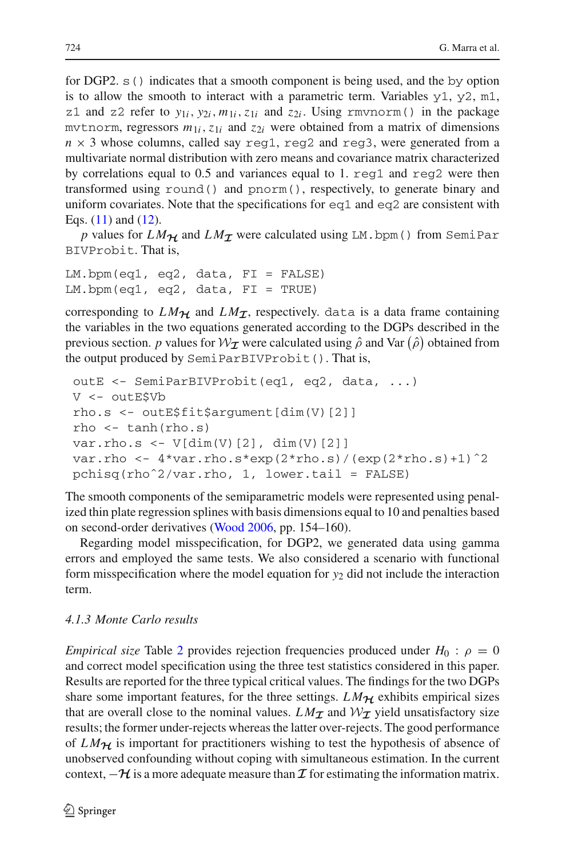for DGP2. s() indicates that a smooth component is being used, and the by option is to allow the smooth to interact with a parametric term. Variables  $y1$ ,  $y2$ ,  $m1$ , z1 and z2 refer to  $y_{1i}$ ,  $y_{2i}$ ,  $m_{1i}$ ,  $z_{1i}$  and  $z_{2i}$ . Using rmvnorm() in the package mytnorm, regressors  $m_{1i}$ ,  $z_{1i}$  and  $z_{2i}$  were obtained from a matrix of dimensions  $n \times 3$  whose columns, called say reg1, reg2 and reg3, were generated from a multivariate normal distribution with zero means and covariance matrix characterized by correlations equal to 0.5 and variances equal to 1.  $\text{req1}$  and  $\text{req2}$  were then transformed using round() and pnorm(), respectively, to generate binary and uniform covariates. Note that the specifications for eq1 and eq2 are consistent with Eqs. [\(11\)](#page-9-2) and [\(12\)](#page-9-3).

*p* values for  $LM_{\mathcal{H}}$  and  $LM_{\mathcal{I}}$  were calculated using LM.bpm() from SemiPar BIVProbit. That is,

```
LM.bpm(eq1, eq2, data, FI = FALSE)
LM.bpm(eq1, eq2, data, FI = TRUE)
```
corresponding to  $LM_{\mathcal{H}}$  and  $LM_{\mathcal{I}}$ , respectively. data is a data frame containing the variables in the two equations generated according to the DGPs described in the previous section. *p* values for  $W_{\mathcal{I}}$  were calculated using  $\hat{\rho}$  and Var  $(\hat{\rho})$  obtained from the output produced by SemiParBIVProbit(). That is,

```
outE <- SemiParBIVProbit(eq1, eq2, data, ...)
V <- outE$Vb
rho.s <- outE$fit$argument[dim(V)[2]]
rho \leftarrow tanh(rho.s)
var.rho.s \leftarrow V[dim(V)[2], dim(V)[2]var.rho <- 4*var.rho.s*exp(2*rho.s)/(exp(2*rho.s)+1)^2pchisq(rhoˆ2/var.rho, 1, lower.tail = FALSE)
```
The smooth components of the semiparametric models were represented using penalized thin plate regression splines with basis dimensions equal to 10 and penalties based on second-order derivatives [\(Wood 2006](#page-27-2), pp. 154–160).

Regarding model misspecification, for DGP2, we generated data using gamma errors and employed the same tests. We also considered a scenario with functional form misspecification where the model equation for *y*<sup>2</sup> did not include the interaction term.

# <span id="page-10-0"></span>*4.1.3 Monte Carlo results*

*Empirical size* Table [2](#page-11-0) provides rejection frequencies produced under  $H_0$ :  $\rho = 0$ and correct model specification using the three test statistics considered in this paper. Results are reported for the three typical critical values. The findings for the two DGPs share some important features, for the three settings.  $LM_{\mathcal{H}}$  exhibits empirical sizes that are overall close to the nominal values.  $LM_{\tau}$  and  $W_{\tau}$  yield unsatisfactory size results; the former under-rejects whereas the latter over-rejects. The good performance of  $LM_{\mathcal{H}}$  is important for practitioners wishing to test the hypothesis of absence of unobserved confounding without coping with simultaneous estimation. In the current context,  $-\mathcal{H}$  is a more adequate measure than  $\mathcal I$  for estimating the information matrix.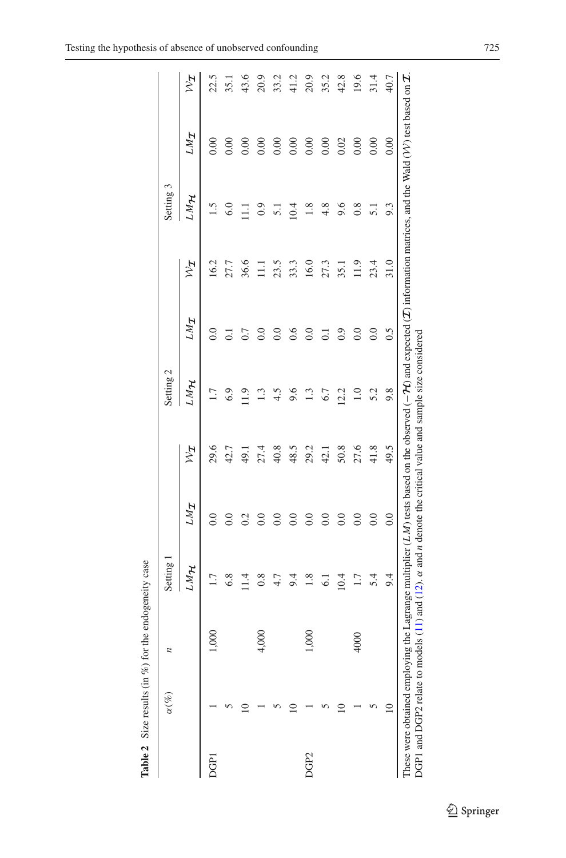|                  | $\overline{a}$<br>$\alpha(\%)$ | Setting         |                  |               | Setting 2 |                    |            | Setting 3       |            |            |
|------------------|--------------------------------|-----------------|------------------|---------------|-----------|--------------------|------------|-----------------|------------|------------|
|                  |                                | HWT             | <b>IMT</b>       | $\frac{1}{2}$ | LMH       | <b>TWT</b>         | $z_{\chi}$ | <b>HWT</b>      | <b>IMT</b> | $z_{\chi}$ |
| DGPI             | $\odot$                        | 1.7             |                  | 29.6          | 1.7       |                    | 16.2       | 1.5             | 0.00       | 22.5       |
|                  |                                | 6.8             | 0.0              | 42.7          | 6.9       |                    | 27.7       | 6.0             | 0.00       | 35.1       |
|                  |                                | 11.4            | 0.2              | 49.1          | 1.9       |                    | 36.6       | Ξ               | 0.00       | 43.6       |
|                  | 600<br>4                       | 0.8             |                  | 27.4          | 1.3       | $\overline{0}$ .   | Ξ          | 0.9             | 0.00       | 20.9       |
|                  |                                | $4.7$           | $\overline{0}$ . | 40.8          | 4.5       | $\overline{0}$ .   | 23.5       | $\overline{51}$ | 0.00       | 33.2       |
|                  |                                | 9.4             | $\rm{C}$         | 48.5          | 9.6       | 0.6                | 33.3       | 10.4            | 0.00       | 41.2       |
| DGP <sub>2</sub> | 600                            | $1.8\,$         | 0.0              | 29.2          | 1.3       | 0.0                | 16.0       | $1.8\,$         | 0.00       | 20.9       |
|                  |                                | $\overline{61}$ | 0.0              | 42.1          | 6.7       | $\overline{0}$     | 27.3       | 4.8             | 0.00       | 35.2       |
|                  |                                | 10.4            | $\overline{0}$ . | 50.8          | 12.2      | $\ddot{0}$ .       | 35.1       | 9.6             | 0.02       | 42.8       |
|                  | 4000                           | 1.7             | $\overline{0.0}$ | 27.6          | 1.0       | $_{\odot}^{\circ}$ | 11.9       | 0.8             | 0.00       | 19.6       |
|                  |                                | 5.4             | 0.0              | 41.8          | 5.2       | 0.0                | 23.4       | 5.1             | 0.00       | 31.4       |
|                  |                                | 9.4             | 0.0              | 49.5          | 9.8       | 0.5                | 31.0       | 9.3             | 0.00       | 40.7       |

<span id="page-11-0"></span>Table 2 Size results (in %) for the endogeneity case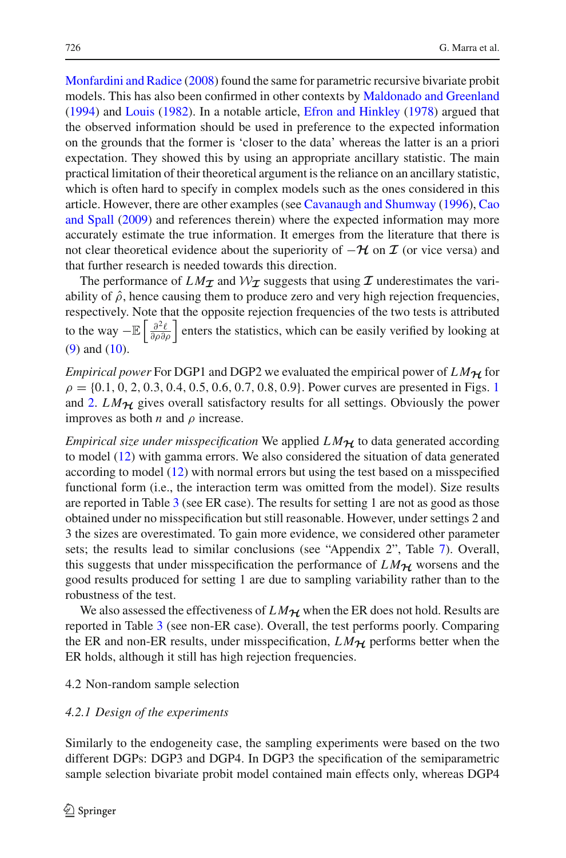[Monfardini and Radice](#page-27-5) [\(2008](#page-27-5)) found the same for parametric recursive bivariate probit models. This has also been confirmed in other contexts by [Maldonado and Greenland](#page-26-20) [\(1994\)](#page-26-20) and [Louis](#page-26-21) [\(1982](#page-26-21)). In a notable article, [Efron and Hinkley](#page-26-22) [\(1978](#page-26-22)) argued that the observed information should be used in preference to the expected information on the grounds that the former is 'closer to the data' whereas the latter is an a priori expectation. They showed this by using an appropriate ancillary statistic. The main practical limitation of their theoretical argument is the reliance on an ancillary statistic, which is often hard to specify in complex models such as the ones considered in this article. H[owever,](#page-26-24) [there](#page-26-24) [are](#page-26-24) [other](#page-26-24) [examples](#page-26-24) [\(see](#page-26-24) [Cavanaugh and Shumway](#page-26-23) [\(1996](#page-26-23)), Cao and Spall [\(2009\)](#page-26-24) and references therein) where the expected information may more accurately estimate the true information. It emerges from the literature that there is not clear theoretical evidence about the superiority of  $-\mathcal{H}$  on  $\mathcal I$  (or vice versa) and that further research is needed towards this direction.

The performance of  $LM_{\tau}$  and  $W_{\tau}$  suggests that using  $\tau$  underestimates the variability of  $\hat{\rho}$ , hence causing them to produce zero and very high rejection frequencies, respectively. Note that the opposite rejection frequencies of the two tests is attributed to the way  $-\mathbb{E}\left[\frac{\partial^2 \ell}{\partial \rho \partial \rho}\right]$  enters the statistics, which can be easily verified by looking at [\(9\)](#page-7-0) and [\(10\)](#page-7-1).

*Empirical power* For DGP1 and DGP2 we evaluated the empirical power of  $LM_{\mathcal{H}}$  for  $\rho = \{0.1, 0, 2, 0.3, 0.4, 0.5, 0.6, 0.7, 0.8, 0.9\}$  $\rho = \{0.1, 0, 2, 0.3, 0.4, 0.5, 0.6, 0.7, 0.8, 0.9\}$  $\rho = \{0.1, 0, 2, 0.3, 0.4, 0.5, 0.6, 0.7, 0.8, 0.9\}$ . Power curves are presented in Figs. 1 and [2.](#page-14-0)  $LM_{\mathcal{H}}$  gives overall satisfactory results for all settings. Obviously the power improves as both  $n$  and  $\rho$  increase.

*Empirical size under misspecification* We applied *L M<sup>H</sup>* to data generated according to model [\(12\)](#page-9-3) with gamma errors. We also considered the situation of data generated according to model [\(12\)](#page-9-3) with normal errors but using the test based on a misspecified functional form (i.e., the interaction term was omitted from the model). Size results are reported in Table [3](#page-15-0) (see ER case). The results for setting 1 are not as good as those obtained under no misspecification but still reasonable. However, under settings 2 and 3 the sizes are overestimated. To gain more evidence, we considered other parameter sets; the results lead to similar conclusions (see "Appendix 2", Table [7\)](#page-24-0). Overall, this suggests that under misspecification the performance of  $LM_{\mathcal{H}}$  worsens and the good results produced for setting 1 are due to sampling variability rather than to the robustness of the test.

We also assessed the effectiveness of  $LM_{\mathcal{H}}$  when the ER does not hold. Results are reported in Table [3](#page-15-0) (see non-ER case). Overall, the test performs poorly. Comparing the ER and non-ER results, under misspecification,  $LM_{\mathcal{H}}$  performs better when the ER holds, although it still has high rejection frequencies.

# 4.2 Non-random sample selection

#### <span id="page-12-0"></span>*4.2.1 Design of the experiments*

Similarly to the endogeneity case, the sampling experiments were based on the two different DGPs: DGP3 and DGP4. In DGP3 the specification of the semiparametric sample selection bivariate probit model contained main effects only, whereas DGP4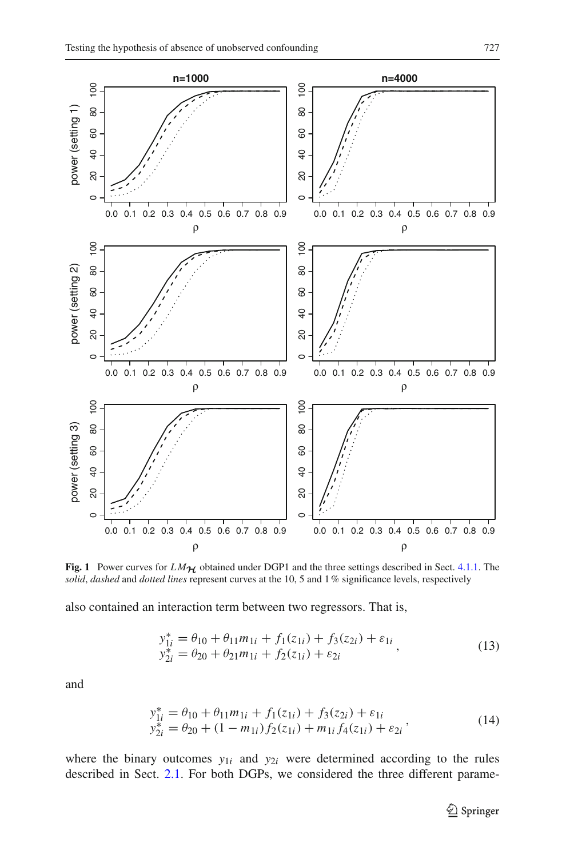

<span id="page-13-0"></span>**Fig. 1** Power curves for  $LM_{\mathcal{H}}$  obtained under DGP1 and the three settings described in Sect. [4.1.1.](#page-9-0) The *solid*, *dashed* and *dotted lines* represent curves at the 10, 5 and 1% significance levels, respectively

<span id="page-13-1"></span>also contained an interaction term between two regressors. That is,

$$
y_{1i}^* = \theta_{10} + \theta_{11} m_{1i} + f_1(z_{1i}) + f_3(z_{2i}) + \varepsilon_{1i} \n y_{2i}^* = \theta_{20} + \theta_{21} m_{1i} + f_2(z_{1i}) + \varepsilon_{2i}
$$
\n(13)

<span id="page-13-2"></span>and

$$
y_{1i}^* = \theta_{10} + \theta_{11}m_{1i} + f_1(z_{1i}) + f_3(z_{2i}) + \varepsilon_{1i}
$$
  
\n
$$
y_{2i}^* = \theta_{20} + (1 - m_{1i})f_2(z_{1i}) + m_{1i}f_4(z_{1i}) + \varepsilon_{2i}
$$
\n(14)

where the binary outcomes  $y_{1i}$  and  $y_{2i}$  were determined according to the rules described in Sect. [2.1.](#page-3-3) For both DGPs, we considered the three different parame-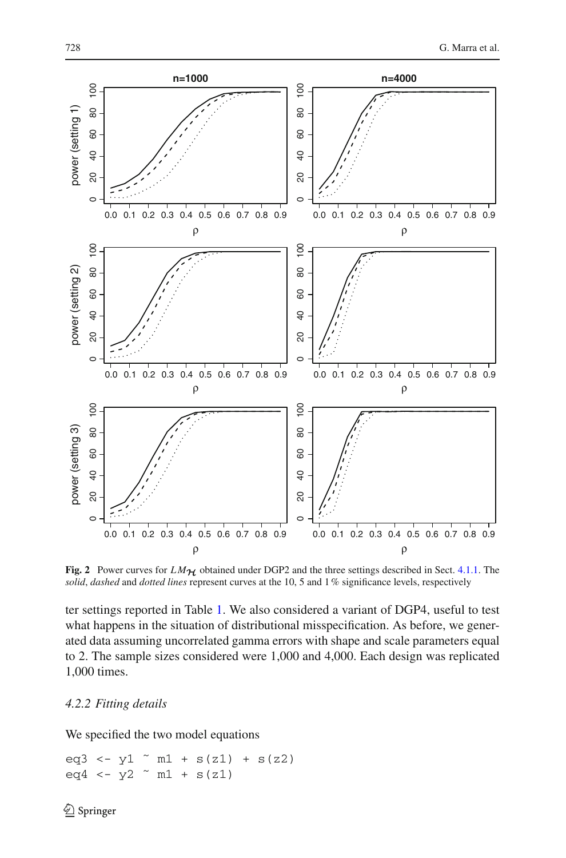

<span id="page-14-0"></span>**Fig. 2** Power curves for  $LM_{\mathcal{H}}$  obtained under DGP2 and the three settings described in Sect. [4.1.1.](#page-9-0) The *solid*, *dashed* and *dotted lines* represent curves at the 10, 5 and 1% significance levels, respectively

ter settings reported in Table [1.](#page-9-1) We also considered a variant of DGP4, useful to test what happens in the situation of distributional misspecification. As before, we generated data assuming uncorrelated gamma errors with shape and scale parameters equal to 2. The sample sizes considered were 1,000 and 4,000. Each design was replicated 1,000 times.

# *4.2.2 Fitting details*

We specified the two model equations

eq3 <-  $y1$   $\degree$  m1 +  $s(z1)$  +  $s(z2)$ eq4 <-  $y2$   $\sim$  m1 + s(z1)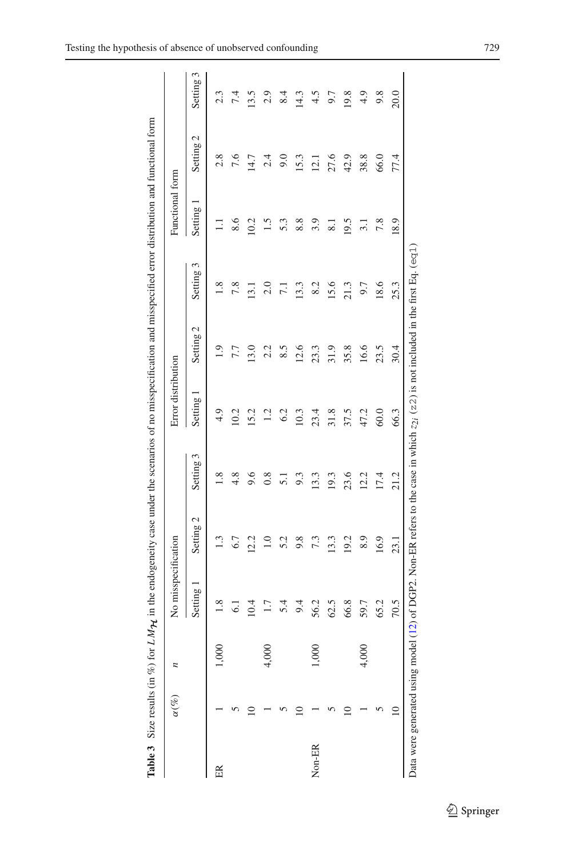|        | <b>Table 3</b> Size results $(in %) for$ |         |                     | LM $\eta$ in the endogeneity case under the scenarios of no misspecification and misspecified error distribution and functional form   |                 |                    |                      |                 |                  |           |           |
|--------|------------------------------------------|---------|---------------------|----------------------------------------------------------------------------------------------------------------------------------------|-----------------|--------------------|----------------------|-----------------|------------------|-----------|-----------|
|        | $\alpha(\%)$                             |         | No misspecification |                                                                                                                                        |                 | Error distribution |                      |                 | Functional form  |           |           |
|        |                                          |         | Setting             | Setting 2                                                                                                                              | Setting 3       | Setting            | Setting <sub>2</sub> | Setting         | Setting          | Setting 2 | Setting 3 |
| 臣      |                                          |         | 1.8                 | 1.3                                                                                                                                    | 1.8             | 4.9                | 1.9                  | 1.8             | $\Xi$            | 2.8       | 2.3       |
|        |                                          |         | 6.1                 | $6.7$                                                                                                                                  | 4.8             | 10.2               | 7.7                  | 7.8             | 8.6              | 7.6       | 7.4       |
|        |                                          |         | 10.4                | 12.2                                                                                                                                   | 9.6             | 15.2               | 13.0                 | 13.1            | 10.2             | 14.7      | 13.5      |
|        |                                          | 4,000   | 1.7                 | 1.0                                                                                                                                    | 0.8             | 1.2                | 2.2                  | 2.0             | 1.5              | 2.4       | 2.9       |
|        |                                          |         | 5.4                 | 5.2                                                                                                                                    | $\overline{51}$ | 6.2                | 8.5                  | $\overline{71}$ | 5.3              | 9.0       | 8.4       |
|        |                                          |         | 9.4                 | 9.8                                                                                                                                    | 9.3             | 10.3               | 12.6                 | 13.3            | 8.8              | 15.3      | 14.3      |
| Non-ER |                                          | 001,000 | 56.2                | 7.3                                                                                                                                    | 13.3            | 23.4               | 23.3                 | 8.2             | 3.9              | 12.1      | 4.5       |
|        |                                          |         | 62.5                | 13.3                                                                                                                                   | 19.3            | 31.8               | 31.9                 | 15.6            | $\overline{8.1}$ | 27.6      | 9.7       |
|        |                                          |         | 66.8                | 19.2                                                                                                                                   | 23.6            | 37.5               | 35.8                 | 21.3            | 19.5             | 42.9      | 19.8      |
|        |                                          | 4,000   | 59.7                | 8.9                                                                                                                                    | 12.2            | 47.2               | 16.6                 | 9.7             | 3.1              | 38.8      | 4.9       |
|        |                                          |         | 65.2                | 16.9                                                                                                                                   | 17.4            | 60.0               | 23.5                 | 18.6            | 7.8              | 66.0      | 9.8       |
|        | $\approx$                                |         | 70.5                | 23.1                                                                                                                                   | 21.2            | 66.3               | 30.4                 | 25.3            | 18.9             | 77.4      | 20.0      |
|        |                                          |         |                     | Data were generated using model (12) of DGP2. Non-ER refers to the case in which $z_{21}$ (z2) is not included in the first Eq. (eq.1) |                 |                    |                      |                 |                  |           |           |

<span id="page-15-0"></span>

| ï                |
|------------------|
|                  |
|                  |
|                  |
|                  |
|                  |
|                  |
|                  |
|                  |
|                  |
|                  |
|                  |
|                  |
|                  |
|                  |
|                  |
| ׇ֚֓              |
|                  |
|                  |
|                  |
|                  |
|                  |
|                  |
|                  |
|                  |
|                  |
|                  |
| ì                |
|                  |
|                  |
|                  |
|                  |
|                  |
|                  |
|                  |
| ֠                |
| ֚֚֚֬             |
|                  |
|                  |
|                  |
|                  |
|                  |
|                  |
|                  |
|                  |
|                  |
| i                |
|                  |
| ł                |
| j<br>ì<br>í<br>J |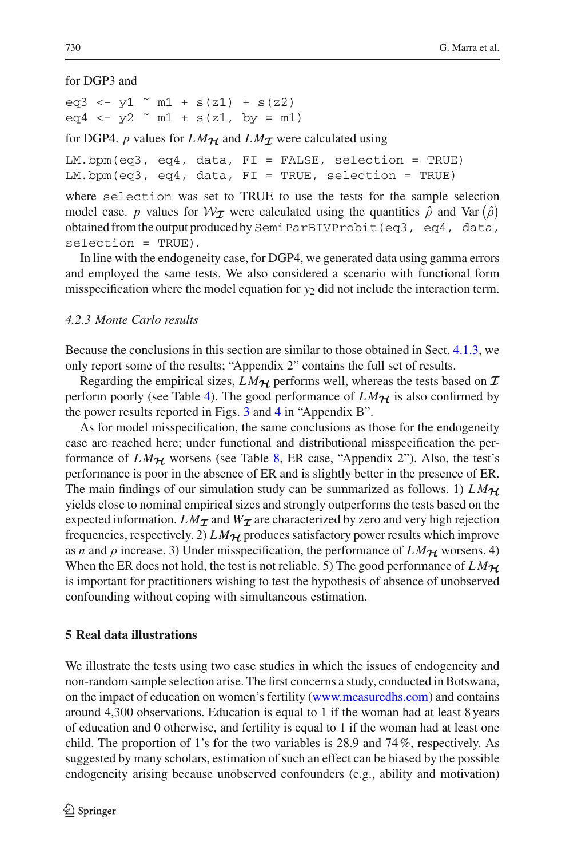for DGP3 and

eq3 <- y1  $\degree$  m1 + s(z1) + s(z2)  $eq4 \le -y2 \approx m1 + s(z1, by = m1)$ 

for DGP4. *p* values for  $LM_{\mathcal{H}}$  and  $LM_{\mathcal{I}}$  were calculated using

LM.bpm(eq3, eq4, data, FI = FALSE, selection = TRUE) LM.bpm(eq3, eq4, data, FI = TRUE, selection = TRUE)

where selection was set to TRUE to use the tests for the sample selection model case. *p* values for  $W_I$  were calculated using the quantities  $\hat{\rho}$  and Var  $(\hat{\rho})$ obtained from the output produced by SemiParBIVProbit (eq3, eq4, data, selection = TRUE).

In line with the endogeneity case, for DGP4, we generated data using gamma errors and employed the same tests. We also considered a scenario with functional form misspecification where the model equation for  $y_2$  did not include the interaction term.

### *4.2.3 Monte Carlo results*

Because the conclusions in this section are similar to those obtained in Sect. [4.1.3,](#page-10-0) we only report some of the results; "Appendix 2" contains the full set of results.

Regarding the empirical sizes,  $LM_{\mathcal{H}}$  performs well, whereas the tests based on  $\mathcal I$ perform poorly (see Table [4\)](#page-17-0). The good performance of  $LM_{\mathcal{H}}$  is also confirmed by the power results reported in Figs. [3](#page-18-0) and [4](#page-19-0) in "Appendix B".

As for model misspecification, the same conclusions as those for the endogeneity case are reached here; under functional and distributional misspecification the performance of  $LM_{\mathcal{H}}$  worsens (see Table [8,](#page-25-0) ER case, "Appendix 2"). Also, the test's performance is poor in the absence of ER and is slightly better in the presence of ER. The main findings of our simulation study can be summarized as follows. 1)  $LM_{H}$ yields close to nominal empirical sizes and strongly outperforms the tests based on the expected information.  $LM_{\mathcal{I}}$  and  $W_{\mathcal{I}}$  are characterized by zero and very high rejection frequencies, respectively. 2)  $LM_{\mathcal{H}}$  produces satisfactory power results which improve as *n* and  $\rho$  increase. 3) Under misspecification, the performance of  $LM_{\mathcal{H}}$  worsens. 4) When the ER does not hold, the test is not reliable. 5) The good performance of  $LM_{H}$ is important for practitioners wishing to test the hypothesis of absence of unobserved confounding without coping with simultaneous estimation.

#### <span id="page-16-0"></span>**5 Real data illustrations**

We illustrate the tests using two case studies in which the issues of endogeneity and non-random sample selection arise. The first concerns a study, conducted in Botswana, on the impact of education on women's fertility [\(www.measuredhs.com\)](www.measuredhs.com) and contains around 4,300 observations. Education is equal to 1 if the woman had at least 8 years of education and 0 otherwise, and fertility is equal to 1 if the woman had at least one child. The proportion of 1's for the two variables is 28.9 and  $74\%$ , respectively. As suggested by many scholars, estimation of such an effect can be biased by the possible endogeneity arising because unobserved confounders (e.g., ability and motivation)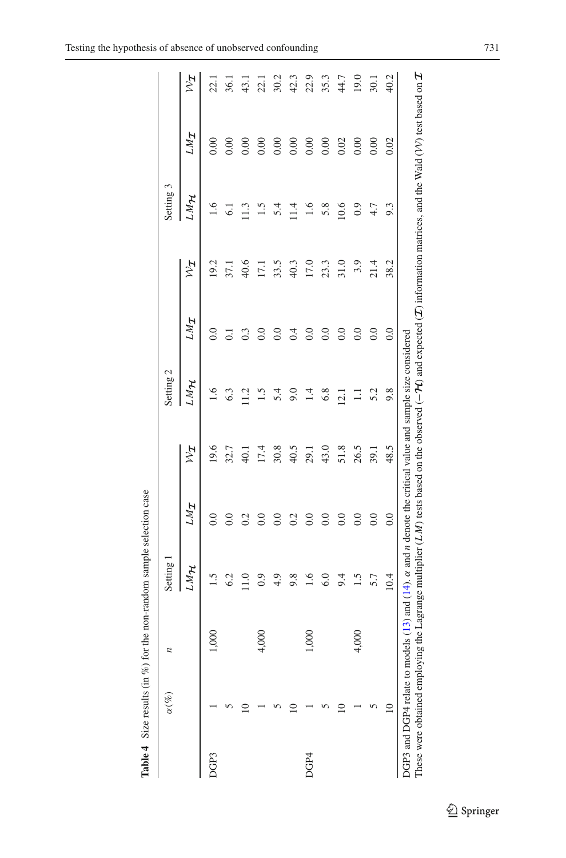| DGP3 | $\overline{a}$ | Setting |            |            | Setting 2 |                  |            | Setting 3                                 |            |            |
|------|----------------|---------|------------|------------|-----------|------------------|------------|-------------------------------------------|------------|------------|
|      |                | LMH     | <b>INT</b> | $z_{\chi}$ | LMH       | <b>INT</b>       | $z_{\chi}$ | MMH                                       | <b>INT</b> | $z_{\chi}$ |
|      | 600            | 1.5     | 0.0        | 19.6       | 1.6       | 0.0              | 19.2       | 1.6                                       | 0.00       | 22.1       |
|      |                | 6.2     | 0.0        | 32.7       | 6.3       | $\overline{0}$ . | 37.1       | 6.1                                       | 0.00       | 36.1       |
|      |                | 11.0    | 0.2        | 40.1       | 11.5      | 0.3              | 40.6       | $\begin{array}{c} 1.3 \\ 1.5 \end{array}$ | 0.00       | 43.1       |
|      | 600<br>4       | 0.9     | 0.0        | 17.4       |           | $\overline{0.0}$ | 17.1       |                                           | 0.00       | 22.1       |
|      |                | 4.9     | 0.0        | 30.8       | 5.4       | 0.0              | 33.5       | 5.4                                       | 0.00       | 30.2       |
|      |                | 9.8     | 0.2        | 40.5       | 9.0       | 0.4              | 40.3       | 1.4                                       | 0.00       | 42.3       |
| DGP4 | 600            | 1.6     | 0.0        | 29.1       | 1.4       | 0.0              | 17.0       | 1.6                                       | 0.00       | 22.9       |
|      |                | 6.0     | 0.0        | 43.0       | 6.8       | 0.0              | 23.3       | 5.8                                       | 0.00       | 35.3       |
|      |                | 9.4     | 0.0        | 51.8       | 12.1      | 0.0              | 31.0       | 10.6                                      | 0.02       | 44.7       |
|      | 4,000          | 1.5     | 0.0        | 26.5       | $\Box$    | 0.0              | 3.9        | 0.9                                       | 0.00       | 19.0       |
|      |                | 5.7     | 0.0        | 39.1       | 5.2       | 0.0              | 21.4       | 4.7                                       | 0.00       | 30.1       |
|      |                | 10.4    | 0.0        | 48.5       | 9.8       | 0.0              | 38.2       | 9.3                                       | 0.02       | 40.2       |

<span id="page-17-0"></span>Table 4 Size results (in  $%$ ) for the non-random sample selection case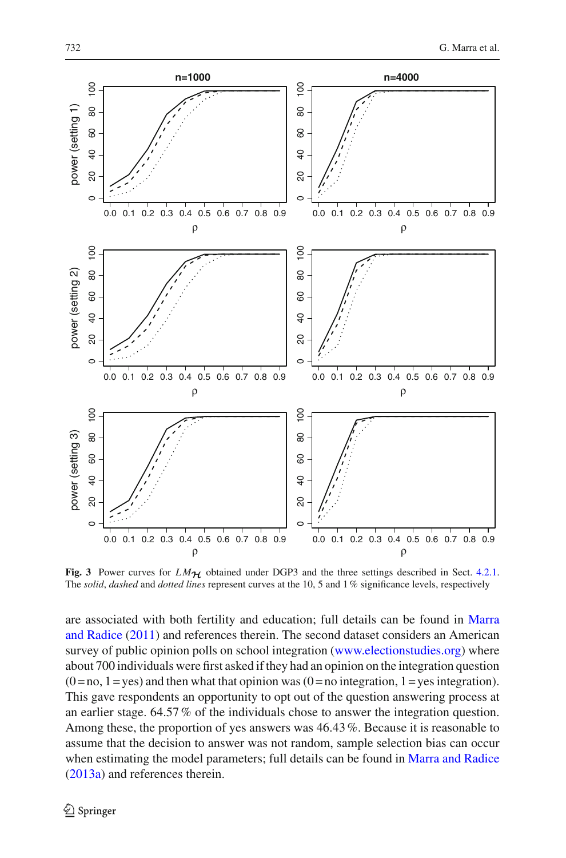

<span id="page-18-0"></span>**Fig. 3** Power curves for  $LM_{\mathcal{H}}$  obtained under DGP3 and the three settings described in Sect. [4.2.1.](#page-12-0) The *solid*, *dashed* and *dotted lines* represent curves at the 10, 5 and 1% significance levels, respectively

are associ[ated](#page-26-12) [with](#page-26-12) [both](#page-26-12) [fertility](#page-26-12) [and](#page-26-12) [education;](#page-26-12) [full](#page-26-12) [details](#page-26-12) [can](#page-26-12) [be](#page-26-12) [found](#page-26-12) [in](#page-26-12) Marra and Radice [\(2011\)](#page-26-12) and references therein. The second dataset considers an American survey of public opinion polls on school integration [\(www.electionstudies.org\)](www.electionstudies.org) where about 700 individuals were first asked if they had an opinion on the integration question  $(0 = no, 1 = yes)$  and then what that opinion was  $(0 = no$  integration,  $1 = yes$  integration). This gave respondents an opportunity to opt out of the question answering process at an earlier stage. 64.57% of the individuals chose to answer the integration question. Among these, the proportion of yes answers was 46.43%. Because it is reasonable to assume that the decision to answer was not random, sample selection bias can occur when estimating the model parameters; full details can be found in [Marra and Radice](#page-26-13) [\(2013a](#page-26-13)) and references therein.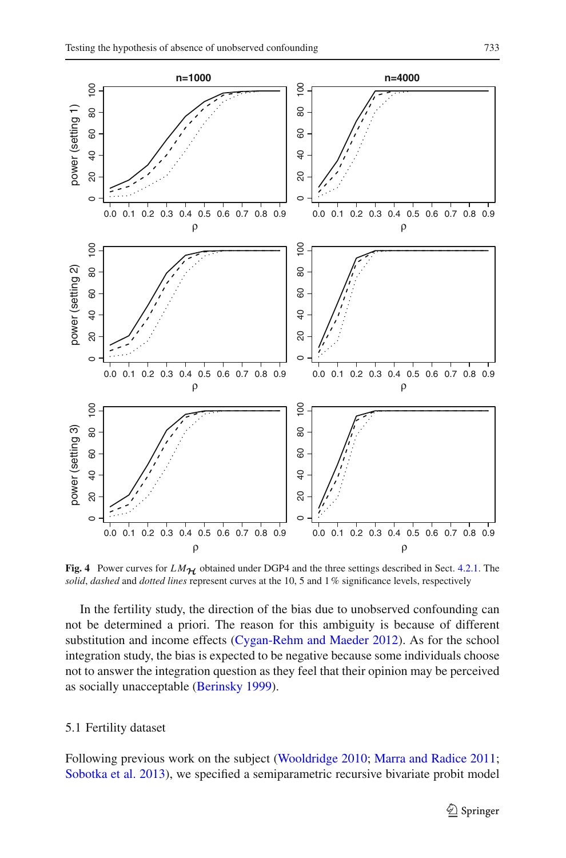

<span id="page-19-0"></span>**Fig. 4** Power curves for  $LM_{\mathcal{H}}$  obtained under DGP4 and the three settings described in Sect. [4.2.1.](#page-12-0) The *solid*, *dashed* and *dotted lines* represent curves at the 10, 5 and 1% significance levels, respectively

In the fertility study, the direction of the bias due to unobserved confounding can not be determined a priori. The reason for this ambiguity is because of different substitution and income effects [\(Cygan-Rehm and Maeder 2012](#page-26-25)). As for the school integration study, the bias is expected to be negative because some individuals choose not to answer the integration question as they feel that their opinion may be perceived as socially unacceptable [\(Berinsky 1999](#page-26-26)).

# 5.1 Fertility dataset

Following previous work on the subject [\(Wooldridge 2010](#page-27-7); [Marra and Radice 2011](#page-26-12); [Sobotka et al. 2013](#page-27-8)), we specified a semiparametric recursive bivariate probit model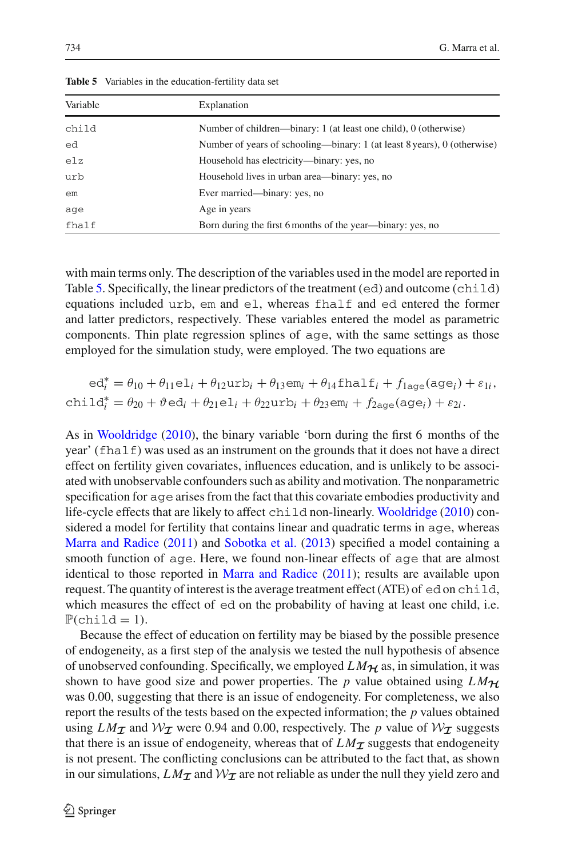<span id="page-20-0"></span>

| Variable | Explanation                                                              |
|----------|--------------------------------------------------------------------------|
| child    | Number of children—binary: 1 (at least one child), 0 (otherwise)         |
| ed       | Number of years of schooling—binary: 1 (at least 8 years), 0 (otherwise) |
| e1z      | Household has electricity—binary: yes, no                                |
| urb      | Household lives in urban area—binary: yes, no                            |
| em       | Ever married—binary: yes, no                                             |
| age      | Age in years                                                             |
| fhalf    | Born during the first 6 months of the year—binary: yes, no               |

**Table 5** Variables in the education-fertility data set

with main terms only. The description of the variables used in the model are reported in Table [5.](#page-20-0) Specifically, the linear predictors of the treatment (ed) and outcome (child) equations included urb, em and el, whereas fhalf and ed entered the former and latter predictors, respectively. These variables entered the model as parametric components. Thin plate regression splines of age, with the same settings as those employed for the simulation study, were employed. The two equations are

$$
ed_i^* = \theta_{10} + \theta_{11}el_i + \theta_{12}urb_i + \theta_{13}em_i + \theta_{14}fhalf_i + f_{1age}(age_i) + \varepsilon_{1i},
$$
  
child<sub>i</sub><sup>\*</sup> =  $\theta_{20} + \vartheta$ ed<sub>i</sub> +  $\theta_{21}el_i + \theta_{22}urb_i + \theta_{23}em_i + f_{2age}(age_i) + \varepsilon_{2i}.$ 

As in [Wooldridge](#page-27-7) [\(2010\)](#page-27-7), the binary variable 'born during the first 6 months of the year' (fhalf) was used as an instrument on the grounds that it does not have a direct effect on fertility given covariates, influences education, and is unlikely to be associated with unobservable confounders such as ability and motivation. The nonparametric specification for age arises from the fact that this covariate embodies productivity and life-cycle effects that are likely to affect child non-linearly. [Wooldridge](#page-27-7) [\(2010](#page-27-7)) considered a model for fertility that contains linear and quadratic terms in age, whereas [Marra and Radice](#page-26-12) [\(2011](#page-26-12)) and [Sobotka et al.](#page-27-8) [\(2013](#page-27-8)) specified a model containing a smooth function of age. Here, we found non-linear effects of age that are almost identical to those reported in [Marra and Radice](#page-26-12) [\(2011\)](#page-26-12); results are available upon request. The quantity of interest is the average treatment effect (ATE) of ed on child, which measures the effect of ed on the probability of having at least one child, i.e.  $P(\text{child} = 1)$ .

Because the effect of education on fertility may be biased by the possible presence of endogeneity, as a first step of the analysis we tested the null hypothesis of absence of unobserved confounding. Specifically, we employed  $LM_{\mathcal{H}}$  as, in simulation, it was shown to have good size and power properties. The *p* value obtained using  $LM_{\mathcal{H}}$ was 0.00, suggesting that there is an issue of endogeneity. For completeness, we also report the results of the tests based on the expected information; the *p* values obtained using  $LM_{\mathcal{I}}$  and  $W_{\mathcal{I}}$  were 0.94 and 0.00, respectively. The *p* value of  $W_{\mathcal{I}}$  suggests that there is an issue of endogeneity, whereas that of  $LM_{\mathcal{I}}$  suggests that endogeneity is not present. The conflicting conclusions can be attributed to the fact that, as shown in our simulations,  $LM_{\mathcal{I}}$  and  $\mathcal{W}_{\mathcal{I}}$  are not reliable as under the null they yield zero and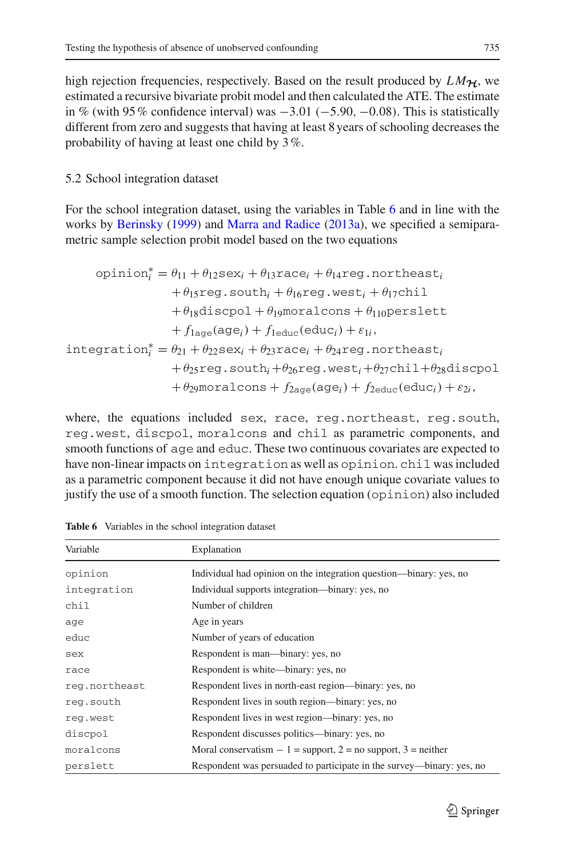high rejection frequencies, respectively. Based on the result produced by  $LM_{\mathcal{H}}$ , we estimated a recursive bivariate probit model and then calculated the ATE. The estimate in % (with 95% confidence interval) was  $-3.01$  ( $-5.90$ ,  $-0.08$ ). This is statistically different from zero and suggests that having at least 8 years of schooling decreases the probability of having at least one child by 3%.

# 5.2 School integration dataset

For the school integration dataset, using the variables in Table [6](#page-21-0) and in line with the works by [Berinsky](#page-26-26) [\(1999\)](#page-26-26) and [Marra and Radice](#page-26-13) [\(2013a\)](#page-26-13), we specified a semiparametric sample selection probit model based on the two equations

$$
\text{opinion}_i^* = \theta_{11} + \theta_{12} \text{sex}_i + \theta_{13} \text{race}_i + \theta_{14} \text{reg}.\text{northeast}_i
$$
\n
$$
+ \theta_{15} \text{reg}.\text{south}_i + \theta_{16} \text{reg}.\text{west}_i + \theta_{17} \text{child}
$$
\n
$$
+ \theta_{18} \text{discpol} + \theta_{19} \text{moralcons} + \theta_{110} \text{perslett}
$$
\n
$$
+ f_{1\text{age}}(\text{age}_i) + f_{1\text{educ}}(\text{educ}_i) + \varepsilon_{1i},
$$
\n
$$
\text{integration}_i^* = \theta_{21} + \theta_{22} \text{sex}_i + \theta_{23} \text{race}_i + \theta_{24} \text{reg}.\text{northeast}_i
$$
\n
$$
+ \theta_{25} \text{reg}.\text{south}_i + \theta_{26} \text{reg}.\text{west}_i + \theta_{27} \text{child} + \theta_{28} \text{discpol}
$$
\n
$$
+ \theta_{29} \text{moralcons} + f_{2\text{age}}(\text{age}_i) + f_{2\text{educ}}(\text{educ}_i) + \varepsilon_{2i},
$$

where, the equations included sex, race, reg.northeast, reg.south, reg.west, discpol, moralcons and chil as parametric components, and smooth functions of age and educ. These two continuous covariates are expected to have non-linear impacts on integration as well as opinion. chil was included as a parametric component because it did not have enough unique covariate values to justify the use of a smooth function. The selection equation (opinion) also included

<span id="page-21-0"></span>

| Variable      | Explanation                                                           |
|---------------|-----------------------------------------------------------------------|
| opinion       | Individual had opinion on the integration question—binary: yes, no    |
| integration   | Individual supports integration—binary: yes, no                       |
| chil          | Number of children                                                    |
| age           | Age in years                                                          |
| educ          | Number of years of education                                          |
| sex           | Respondent is man—binary: yes, no                                     |
| race          | Respondent is white—binary: yes, no                                   |
| reg.northeast | Respondent lives in north-east region-binary: yes, no                 |
| reg.south     | Respondent lives in south region—binary: yes, no                      |
| req.west      | Respondent lives in west region—binary: yes, no                       |
| discpol       | Respondent discusses politics—binary: yes, no                         |
| moralcons     | Moral conservatism $-1$ = support, 2 = no support, 3 = neither        |
| perslett      | Respondent was persuaded to participate in the survey—binary: yes, no |

**Table 6** Variables in the school integration dataset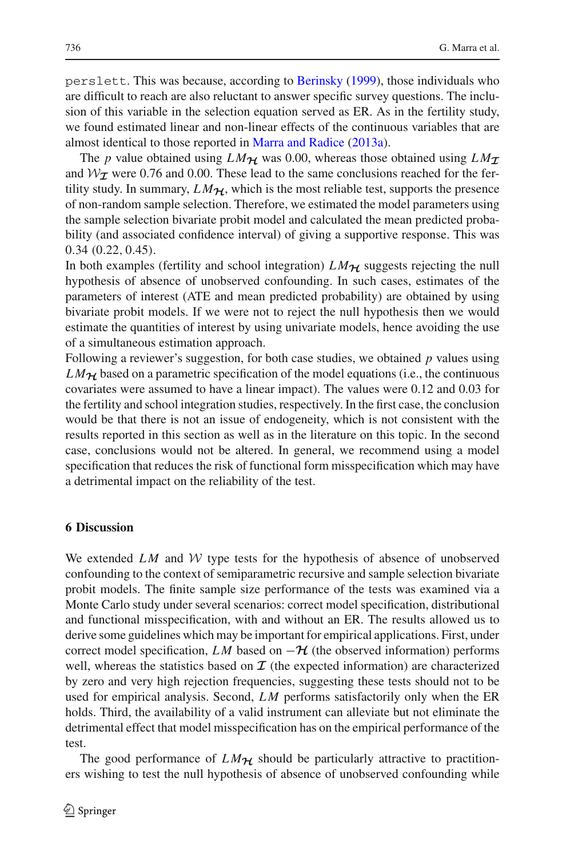perslett. This was because, according to [Berinsky](#page-26-26) [\(1999](#page-26-26)), those individuals who are difficult to reach are also reluctant to answer specific survey questions. The inclusion of this variable in the selection equation served as ER. As in the fertility study, we found estimated linear and non-linear effects of the continuous variables that are almost identical to those reported in [Marra and Radice](#page-26-13) [\(2013a\)](#page-26-13).

The *p* value obtained using  $LM_{\mathcal{H}}$  was 0.00, whereas those obtained using  $LM_{\mathcal{I}}$ and  $W_T$  were 0.76 and 0.00. These lead to the same conclusions reached for the fertility study. In summary,  $LM_{\mathcal{H}}$ , which is the most reliable test, supports the presence of non-random sample selection. Therefore, we estimated the model parameters using the sample selection bivariate probit model and calculated the mean predicted probability (and associated confidence interval) of giving a supportive response. This was 0.34 (0.22, 0.45).

In both examples (fertility and school integration)  $LM_{\mathcal{H}}$  suggests rejecting the null hypothesis of absence of unobserved confounding. In such cases, estimates of the parameters of interest (ATE and mean predicted probability) are obtained by using bivariate probit models. If we were not to reject the null hypothesis then we would estimate the quantities of interest by using univariate models, hence avoiding the use of a simultaneous estimation approach.

Following a reviewer's suggestion, for both case studies, we obtained *p* values using  $LM_{\mathcal{H}}$  based on a parametric specification of the model equations (i.e., the continuous covariates were assumed to have a linear impact). The values were 0.12 and 0.03 for the fertility and school integration studies, respectively. In the first case, the conclusion would be that there is not an issue of endogeneity, which is not consistent with the results reported in this section as well as in the literature on this topic. In the second case, conclusions would not be altered. In general, we recommend using a model specification that reduces the risk of functional form misspecification which may have a detrimental impact on the reliability of the test.

# <span id="page-22-0"></span>**6 Discussion**

We extended *LM* and *W* type tests for the hypothesis of absence of unobserved confounding to the context of semiparametric recursive and sample selection bivariate probit models. The finite sample size performance of the tests was examined via a Monte Carlo study under several scenarios: correct model specification, distributional and functional misspecification, with and without an ER. The results allowed us to derive some guidelines which may be important for empirical applications. First, under correct model specification, *LM* based on  $-\mathcal{H}$  (the observed information) performs well, whereas the statistics based on  $\mathcal I$  (the expected information) are characterized by zero and very high rejection frequencies, suggesting these tests should not to be used for empirical analysis. Second, *LM* performs satisfactorily only when the ER holds. Third, the availability of a valid instrument can alleviate but not eliminate the detrimental effect that model misspecification has on the empirical performance of the test.

The good performance of  $LM_{\mathcal{H}}$  should be particularly attractive to practitioners wishing to test the null hypothesis of absence of unobserved confounding while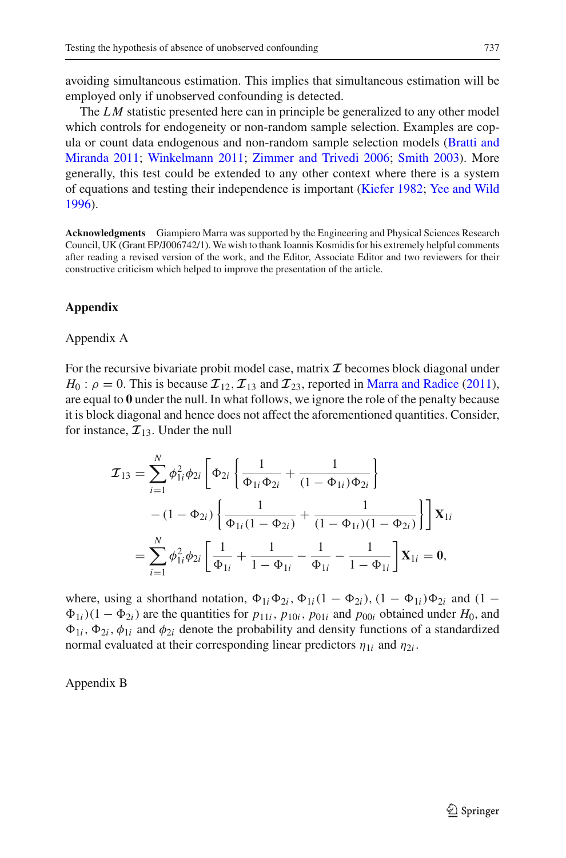avoiding simultaneous estimation. This implies that simultaneous estimation will be employed only if unobserved confounding is detected.

The *LM* statistic presented here can in principle be generalized to any other model which controls for endogeneity or non-random sample selection. Examples are copula or c[ount](#page-26-27) [data](#page-26-27) [endogenous](#page-26-27) [and](#page-26-27) [non-random](#page-26-27) [sample](#page-26-27) [selection](#page-26-27) [models](#page-26-27) [\(](#page-26-27)Bratti and Miranda [2011](#page-26-27); [Winkelmann 2011;](#page-27-9) [Zimmer and Trivedi 2006;](#page-27-10) [Smith 2003\)](#page-27-11). More generally, this test could be extended to any other context where there is a system of equations and testing their independence is important [\(Kiefer 1982;](#page-26-28) [Yee and Wild](#page-27-12) [1996\)](#page-27-12).

**Acknowledgments** Giampiero Marra was supported by the Engineering and Physical Sciences Research Council, UK (Grant EP/J006742/1). We wish to thank Ioannis Kosmidis for his extremely helpful comments after reading a revised version of the work, and the Editor, Associate Editor and two reviewers for their constructive criticism which helped to improve the presentation of the article.

# **Appendix**

# Appendix A

For the recursive bivariate probit model case, matrix  $\mathcal I$  becomes block diagonal under  $H_0: \rho = 0$ . This is because  $\mathcal{I}_{12}, \mathcal{I}_{13}$  and  $\mathcal{I}_{23}$ , reported in [Marra and Radice](#page-26-12) [\(2011](#page-26-12)), are equal to **0** under the null. In what follows, we ignore the role of the penalty because it is block diagonal and hence does not affect the aforementioned quantities. Consider, for instance,  $\mathcal{I}_{13}$ . Under the null

$$
\mathcal{I}_{13} = \sum_{i=1}^{N} \phi_{1i}^{2} \phi_{2i} \left[ \Phi_{2i} \left\{ \frac{1}{\Phi_{1i} \Phi_{2i}} + \frac{1}{(1 - \Phi_{1i}) \Phi_{2i}} \right\} - (1 - \Phi_{2i}) \left\{ \frac{1}{\Phi_{1i} (1 - \Phi_{2i})} + \frac{1}{(1 - \Phi_{1i}) (1 - \Phi_{2i})} \right\} \right] \mathbf{X}_{1i}
$$

$$
= \sum_{i=1}^{N} \phi_{1i}^{2} \phi_{2i} \left[ \frac{1}{\Phi_{1i}} + \frac{1}{1 - \Phi_{1i}} - \frac{1}{\Phi_{1i}} - \frac{1}{1 - \Phi_{1i}} \right] \mathbf{X}_{1i} = \mathbf{0},
$$

where, using a shorthand notation,  $\Phi_{1i}\Phi_{2i}$ ,  $\Phi_{1i}(1 - \Phi_{2i})$ ,  $(1 - \Phi_{1i})\Phi_{2i}$  and  $(1 \Phi_{1i}$ )(1 −  $\Phi_{2i}$ ) are the quantities for  $p_{11i}$ ,  $p_{10i}$ ,  $p_{01i}$  and  $p_{00i}$  obtained under  $H_0$ , and  $\Phi_{1i}$ ,  $\Phi_{2i}$ ,  $\phi_{1i}$  and  $\phi_{2i}$  denote the probability and density functions of a standardized normal evaluated at their corresponding linear predictors  $\eta_{1i}$  and  $\eta_{2i}$ .

Appendix B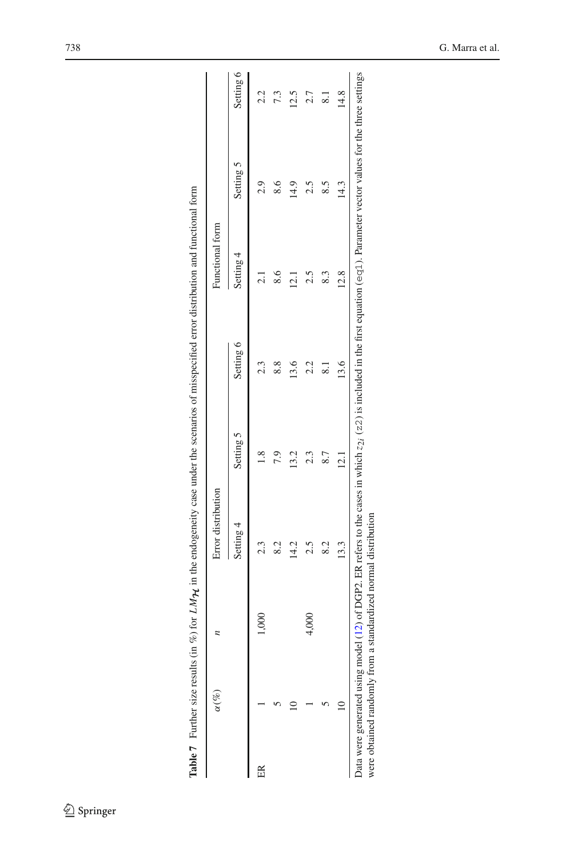<span id="page-24-0"></span>

|                         | $\alpha(\%)$ |       | Error distribution |           |               | Functional form |                  |           |
|-------------------------|--------------|-------|--------------------|-----------|---------------|-----------------|------------------|-----------|
|                         |              |       | Setting 4          | Setting 5 | Setting 6     | Setting 4       | Setting 5        | Setting 6 |
| $\frac{\infty}{\infty}$ |              | 1,000 |                    |           |               |                 |                  |           |
|                         |              |       | 82                 | 7.9       | $\frac{8}{8}$ | $\frac{8.6}{ }$ |                  |           |
|                         |              |       | 14.2               | 13.2      | 13.6          | $\frac{121}{2}$ | $\frac{14.9}{5}$ | 12.5      |
|                         |              | 4,000 | 2.5                | 2.3       | 2.2           |                 |                  | 2.7       |
|                         |              |       | 82                 |           |               | 83              |                  |           |
|                         |              |       | 13.3               | $\Xi$     | 13.6          | 12.8            | 14.3             | 14.8      |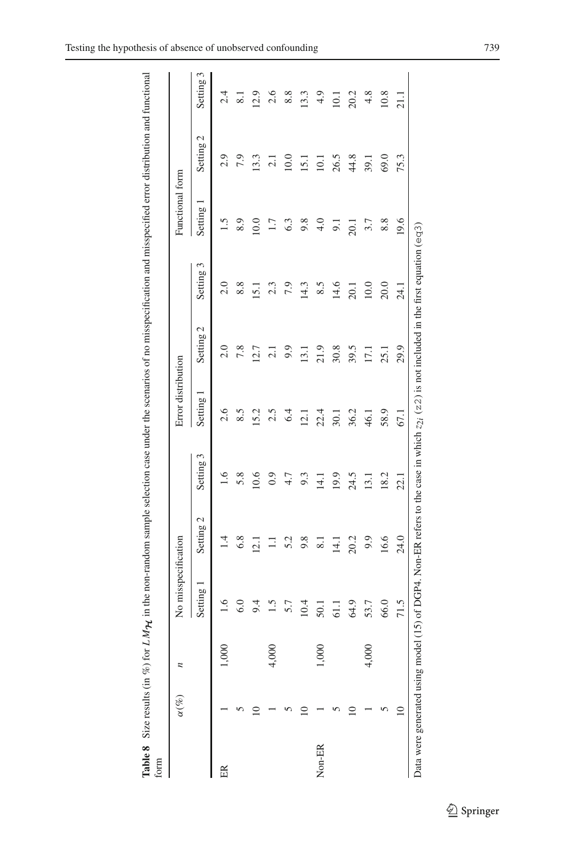| į<br>insicana<br>$\ddot{\phantom{a}}$ |                  |
|---------------------------------------|------------------|
| cotion<br>$\frac{1}{2}$               | ì                |
| Ì<br>i                                |                  |
| $\ddot{\phantom{0}}$                  |                  |
| E<br>ŗ<br>ł<br>3<br>Size resul        | g<br>ì<br>ś<br>έ |
| J<br>able<br>3<br>3<br>3              |                  |

<span id="page-25-0"></span>

|        | $\alpha(\%)$                  |                    | No misspecification |                          |           | Error distribution |           |                                                                                                                        | Functional form |           |                     |
|--------|-------------------------------|--------------------|---------------------|--------------------------|-----------|--------------------|-----------|------------------------------------------------------------------------------------------------------------------------|-----------------|-----------|---------------------|
|        |                               |                    | Setting             | Setting 2                | Setting 3 | Setting            | Setting 2 | Setting 3                                                                                                              | Setting         | Setting 2 | Setting 3           |
| ER     |                               |                    | 1.6                 | 1.4                      | 1.6       | 2.6                | 2.0       | 2.0                                                                                                                    | 1.5             | 2.9       | 2.4                 |
|        |                               |                    | 6.0                 | 6.8                      | 5.8       | 8.5                | 7.8       | 8.8                                                                                                                    | 8.9             | 7.9       | $\overline{\infty}$ |
|        |                               |                    | 9.4                 | 12.1                     | 10.6      | 15.2               | 12.7      | 15.1                                                                                                                   | 10.0            | 13.3      | 12.9                |
|        |                               | ຂ<br>$\frac{1}{2}$ | 1.5                 | $\Xi$                    | 0.9       | 2.5                | 2.1       | 2.3                                                                                                                    | 1.7             | 2.1       | 2.6                 |
|        |                               |                    | 5.7                 | 5.2                      | $4.7$     | 6.4                | 9.9       | 7.9                                                                                                                    | 6.3             | 10.0      | 8.8                 |
|        |                               |                    | 10.4                | 9.8                      | 9.3       | 12.1               | 13.1      | 14.3                                                                                                                   | 9.8             | 15.1      | 13.3                |
| Non-ER |                               | ຂ<br>Š             | 50.1                | $\overline{\phantom{0}}$ | 14.1      | 22.4               | 21.9      | 8.5                                                                                                                    | 4.0             | 10.1      | 4.9                 |
|        |                               |                    | 61.1                | 14.1                     | 19.9      | 30.1               | 30.8      | 14.6                                                                                                                   | $\overline{5}$  | 26.5      | 10.1                |
|        |                               |                    | 64.9                | 20.2                     | 24.5      | 36.2               | 39.5      | 20.1                                                                                                                   | 20.1            | 44.8      | 20.2                |
|        |                               | ຂ<br>$\tilde{c}$   | 53.7                | 9.9                      | 13.1      | 46.1               | 17.1      | 10.0                                                                                                                   | 3.7             | 39.1      | 4.8                 |
|        |                               |                    | 66.0                | 16.6                     | 18.2      | 58.9               | 25.1      | 20.0                                                                                                                   | 8.8             | 69.0      | 10.8                |
|        | ≘                             |                    | 71.5                | 24.0                     | 22.1      | <b>67.1</b>        | 29.9      | $-24.1$                                                                                                                | 19.6            | 75.3      | $\frac{1}{2}$       |
|        | Data were generated using mod |                    |                     |                          |           |                    |           | del (15) of DGP4. Non-ER refers to the case in which $z_{2i}$ ( $z_{2i}$ ) is not included in the first equation (eq3) |                 |           |                     |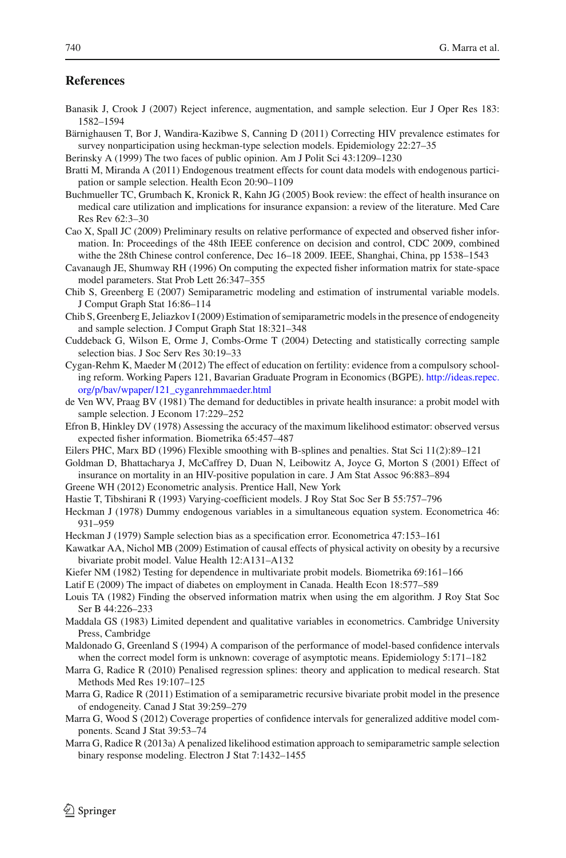# **References**

- <span id="page-26-11"></span>Banasik J, Crook J (2007) Reject inference, augmentation, and sample selection. Eur J Oper Res 183: 1582–1594
- <span id="page-26-10"></span>Bärnighausen T, Bor J, Wandira-Kazibwe S, Canning D (2011) Correcting HIV prevalence estimates for survey nonparticipation using heckman-type selection models. Epidemiology 22:27–35
- <span id="page-26-26"></span>Berinsky A (1999) The two faces of public opinion. Am J Polit Sci 43:1209–1230
- <span id="page-26-27"></span>Bratti M, Miranda A (2011) Endogenous treatment effects for count data models with endogenous participation or sample selection. Health Econ 20:90–1109
- <span id="page-26-5"></span>Buchmueller TC, Grumbach K, Kronick R, Kahn JG (2005) Book review: the effect of health insurance on medical care utilization and implications for insurance expansion: a review of the literature. Med Care Res Rev 62:3–30
- <span id="page-26-24"></span>Cao X, Spall JC (2009) Preliminary results on relative performance of expected and observed fisher information. In: Proceedings of the 48th IEEE conference on decision and control, CDC 2009, combined withe the 28th Chinese control conference, Dec 16–18 2009. IEEE, Shanghai, China, pp 1538–1543
- <span id="page-26-23"></span>Cavanaugh JE, Shumway RH (1996) On computing the expected fisher information matrix for state-space model parameters. Stat Prob Lett 26:347–355
- <span id="page-26-14"></span>Chib S, Greenberg E (2007) Semiparametric modeling and estimation of instrumental variable models. J Comput Graph Stat 16:86–114
- <span id="page-26-15"></span>Chib S, Greenberg E, Jeliazkov I (2009) Estimation of semiparametric models in the presence of endogeneity and sample selection. J Comput Graph Stat 18:321–348
- <span id="page-26-9"></span>Cuddeback G, Wilson E, Orme J, Combs-Orme T (2004) Detecting and statistically correcting sample selection bias. J Soc Serv Res 30:19–33
- <span id="page-26-25"></span>Cygan-Rehm K, Maeder M (2012) The effect of education on fertility: evidence from a compulsory schooling reform. Working Papers 121, Bavarian Graduate Program in Economics (BGPE). [http://ideas.repec.](http://ideas.repec.org/p/bav/wpaper/121_cyganrehmmaeder.html) [org/p/bav/wpaper/121\\_cyganrehmmaeder.html](http://ideas.repec.org/p/bav/wpaper/121_cyganrehmmaeder.html)
- <span id="page-26-3"></span>de Ven WV, Praag BV (1981) The demand for deductibles in private health insurance: a probit model with sample selection. J Econom 17:229–252
- <span id="page-26-22"></span>Efron B, Hinkley DV (1978) Assessing the accuracy of the maximum likelihood estimator: observed versus expected fisher information. Biometrika 65:457–487
- <span id="page-26-17"></span>Eilers PHC, Marx BD (1996) Flexible smoothing with B-splines and penalties. Stat Sci 11(2):89–121
- <span id="page-26-8"></span>Goldman D, Bhattacharya J, McCaffrey D, Duan N, Leibowitz A, Joyce G, Morton S (2001) Effect of insurance on mortality in an HIV-positive population in care. J Am Stat Assoc 96:883–894
- Greene WH (2012) Econometric analysis. Prentice Hall, New York
- <span id="page-26-16"></span><span id="page-26-4"></span>Hastie T, Tibshirani R (1993) Varying-coefficient models. J Roy Stat Soc Ser B 55:757–796
- <span id="page-26-0"></span>Heckman J (1978) Dummy endogenous variables in a simultaneous equation system. Econometrica 46: 931–959
- <span id="page-26-1"></span>Heckman J (1979) Sample selection bias as a specification error. Econometrica 47:153–161
- <span id="page-26-7"></span>Kawatkar AA, Nichol MB (2009) Estimation of causal effects of physical activity on obesity by a recursive bivariate probit model. Value Health 12:A131–A132
- <span id="page-26-28"></span>Kiefer NM (1982) Testing for dependence in multivariate probit models. Biometrika 69:161–166
- <span id="page-26-6"></span>Latif E (2009) The impact of diabetes on employment in Canada. Health Econ 18:577–589
- <span id="page-26-21"></span>Louis TA (1982) Finding the observed information matrix when using the em algorithm. J Roy Stat Soc Ser B 44:226–233
- <span id="page-26-2"></span>Maddala GS (1983) Limited dependent and qualitative variables in econometrics. Cambridge University Press, Cambridge
- <span id="page-26-20"></span>Maldonado G, Greenland S (1994) A comparison of the performance of model-based confidence intervals when the correct model form is unknown: coverage of asymptotic means. Epidemiology 5:171–182
- <span id="page-26-18"></span>Marra G, Radice R (2010) Penalised regression splines: theory and application to medical research. Stat Methods Med Res 19:107–125
- <span id="page-26-12"></span>Marra G, Radice R (2011) Estimation of a semiparametric recursive bivariate probit model in the presence of endogeneity. Canad J Stat 39:259–279
- <span id="page-26-19"></span>Marra G, Wood S (2012) Coverage properties of confidence intervals for generalized additive model components. Scand J Stat 39:53–74
- <span id="page-26-13"></span>Marra G, Radice R (2013a) A penalized likelihood estimation approach to semiparametric sample selection binary response modeling. Electron J Stat 7:1432–1455